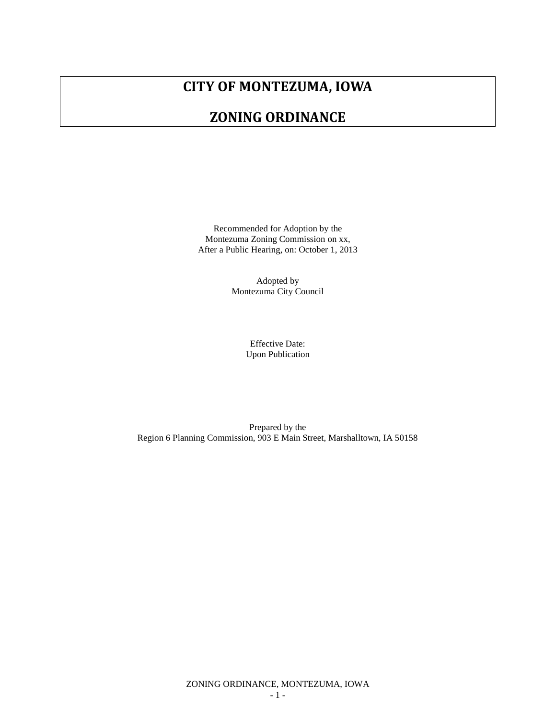# **CITY OF MONTEZUMA, IOWA**

# **ZONING ORDINANCE**

Recommended for Adoption by the Montezuma Zoning Commission on xx, After a Public Hearing, on: October 1, 2013

> Adopted by Montezuma City Council

> > Effective Date: Upon Publication

Prepared by the Region 6 Planning Commission, 903 E Main Street, Marshalltown, IA 50158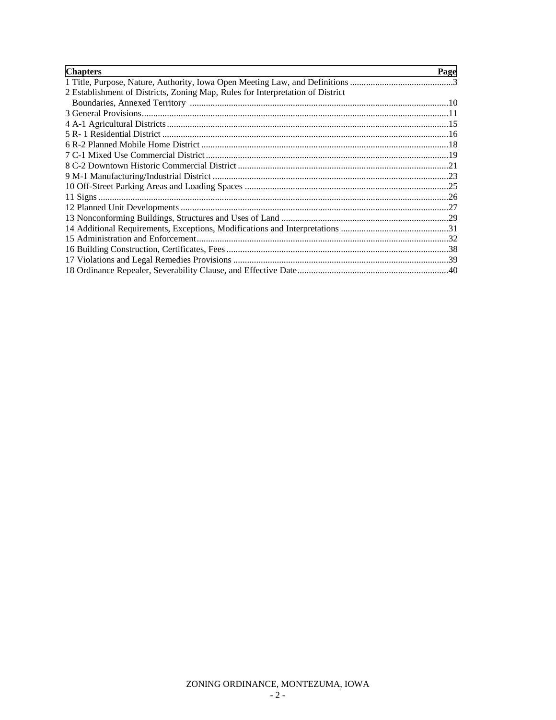| <b>Chapters</b>                                                                | Page |
|--------------------------------------------------------------------------------|------|
|                                                                                |      |
| 2 Establishment of Districts, Zoning Map, Rules for Interpretation of District |      |
|                                                                                |      |
|                                                                                |      |
|                                                                                |      |
|                                                                                |      |
|                                                                                |      |
|                                                                                |      |
|                                                                                |      |
|                                                                                |      |
|                                                                                |      |
|                                                                                |      |
|                                                                                |      |
|                                                                                |      |
|                                                                                |      |
|                                                                                |      |
|                                                                                |      |
|                                                                                |      |
|                                                                                |      |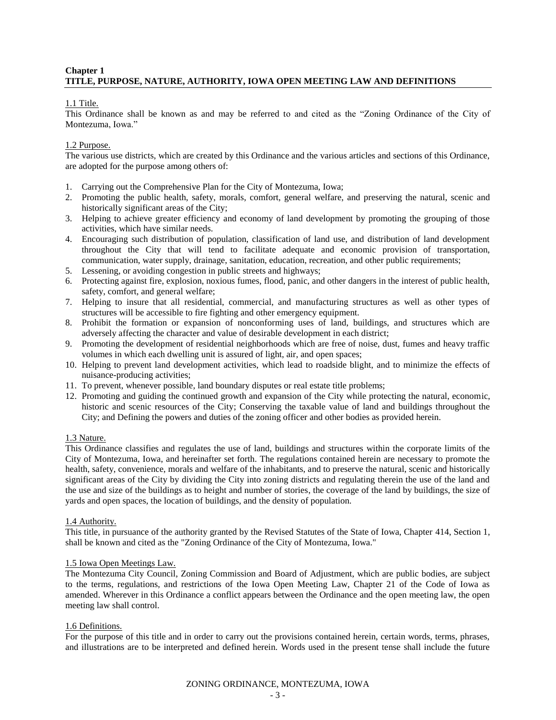## **Chapter 1 TITLE, PURPOSE, NATURE, AUTHORITY, IOWA OPEN MEETING LAW AND DEFINITIONS**

#### 1.1 Title.

This Ordinance shall be known as and may be referred to and cited as the "Zoning Ordinance of the City of Montezuma, Iowa."

## 1.2 Purpose.

The various use districts, which are created by this Ordinance and the various articles and sections of this Ordinance, are adopted for the purpose among others of:

- 1. Carrying out the Comprehensive Plan for the City of Montezuma, Iowa;
- 2. Promoting the public health, safety, morals, comfort, general welfare, and preserving the natural, scenic and historically significant areas of the City;
- 3. Helping to achieve greater efficiency and economy of land development by promoting the grouping of those activities, which have similar needs.
- 4. Encouraging such distribution of population, classification of land use, and distribution of land development throughout the City that will tend to facilitate adequate and economic provision of transportation, communication, water supply, drainage, sanitation, education, recreation, and other public requirements;
- 5. Lessening, or avoiding congestion in public streets and highways;
- 6. Protecting against fire, explosion, noxious fumes, flood, panic, and other dangers in the interest of public health, safety, comfort, and general welfare;
- 7. Helping to insure that all residential, commercial, and manufacturing structures as well as other types of structures will be accessible to fire fighting and other emergency equipment.
- 8. Prohibit the formation or expansion of nonconforming uses of land, buildings, and structures which are adversely affecting the character and value of desirable development in each district;
- 9. Promoting the development of residential neighborhoods which are free of noise, dust, fumes and heavy traffic volumes in which each dwelling unit is assured of light, air, and open spaces;
- 10. Helping to prevent land development activities, which lead to roadside blight, and to minimize the effects of nuisance-producing activities;
- 11. To prevent, whenever possible, land boundary disputes or real estate title problems;
- 12. Promoting and guiding the continued growth and expansion of the City while protecting the natural, economic, historic and scenic resources of the City; Conserving the taxable value of land and buildings throughout the City; and Defining the powers and duties of the zoning officer and other bodies as provided herein.

#### 1.3 Nature.

This Ordinance classifies and regulates the use of land, buildings and structures within the corporate limits of the City of Montezuma, Iowa, and hereinafter set forth. The regulations contained herein are necessary to promote the health, safety, convenience, morals and welfare of the inhabitants, and to preserve the natural, scenic and historically significant areas of the City by dividing the City into zoning districts and regulating therein the use of the land and the use and size of the buildings as to height and number of stories, the coverage of the land by buildings, the size of yards and open spaces, the location of buildings, and the density of population.

#### 1.4 Authority.

This title, in pursuance of the authority granted by the Revised Statutes of the State of Iowa, Chapter 414, Section 1, shall be known and cited as the "Zoning Ordinance of the City of Montezuma, Iowa."

#### 1.5 Iowa Open Meetings Law.

The Montezuma City Council, Zoning Commission and Board of Adjustment, which are public bodies, are subject to the terms, regulations, and restrictions of the Iowa Open Meeting Law, Chapter 21 of the Code of Iowa as amended. Wherever in this Ordinance a conflict appears between the Ordinance and the open meeting law, the open meeting law shall control.

#### 1.6 Definitions.

For the purpose of this title and in order to carry out the provisions contained herein, certain words, terms, phrases, and illustrations are to be interpreted and defined herein. Words used in the present tense shall include the future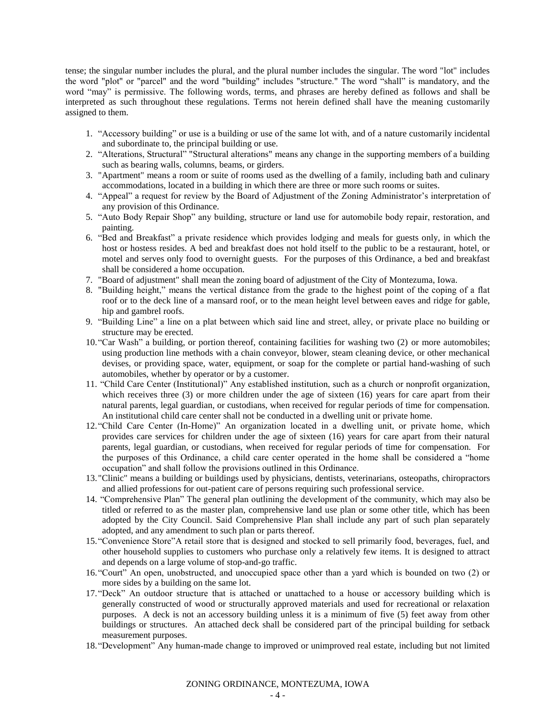tense; the singular number includes the plural, and the plural number includes the singular. The word "lot" includes the word "plot" or "parcel" and the word "building" includes "structure." The word "shall" is mandatory, and the word "may" is permissive. The following words, terms, and phrases are hereby defined as follows and shall be interpreted as such throughout these regulations. Terms not herein defined shall have the meaning customarily assigned to them.

- 1. "Accessory building" or use is a building or use of the same lot with, and of a nature customarily incidental and subordinate to, the principal building or use.
- 2. "Alterations, Structural" "Structural alterations" means any change in the supporting members of a building such as bearing walls, columns, beams, or girders.
- 3. "Apartment" means a room or suite of rooms used as the dwelling of a family, including bath and culinary accommodations, located in a building in which there are three or more such rooms or suites.
- 4. "Appeal" a request for review by the Board of Adjustment of the Zoning Administrator's interpretation of any provision of this Ordinance.
- 5. "Auto Body Repair Shop" any building, structure or land use for automobile body repair, restoration, and painting.
- 6. "Bed and Breakfast" a private residence which provides lodging and meals for guests only, in which the host or hostess resides. A bed and breakfast does not hold itself to the public to be a restaurant, hotel, or motel and serves only food to overnight guests. For the purposes of this Ordinance, a bed and breakfast shall be considered a home occupation.
- 7. "Board of adjustment" shall mean the zoning board of adjustment of the City of Montezuma, Iowa.
- 8. "Building height," means the vertical distance from the grade to the highest point of the coping of a flat roof or to the deck line of a mansard roof, or to the mean height level between eaves and ridge for gable, hip and gambrel roofs.
- 9. "Building Line" a line on a plat between which said line and street, alley, or private place no building or structure may be erected.
- 10."Car Wash" a building, or portion thereof, containing facilities for washing two (2) or more automobiles; using production line methods with a chain conveyor, blower, steam cleaning device, or other mechanical devises, or providing space, water, equipment, or soap for the complete or partial hand-washing of such automobiles, whether by operator or by a customer.
- 11. "Child Care Center (Institutional)" Any established institution, such as a church or nonprofit organization, which receives three (3) or more children under the age of sixteen (16) years for care apart from their natural parents, legal guardian, or custodians, when received for regular periods of time for compensation. An institutional child care center shall not be conducted in a dwelling unit or private home.
- 12."Child Care Center (In-Home)" An organization located in a dwelling unit, or private home, which provides care services for children under the age of sixteen (16) years for care apart from their natural parents, legal guardian, or custodians, when received for regular periods of time for compensation. For the purposes of this Ordinance, a child care center operated in the home shall be considered a "home occupation" and shall follow the provisions outlined in this Ordinance.
- 13."Clinic" means a building or buildings used by physicians, dentists, veterinarians, osteopaths, chiropractors and allied professions for out-patient care of persons requiring such professional service.
- 14. "Comprehensive Plan" The general plan outlining the development of the community, which may also be titled or referred to as the master plan, comprehensive land use plan or some other title, which has been adopted by the City Council. Said Comprehensive Plan shall include any part of such plan separately adopted, and any amendment to such plan or parts thereof.
- 15."Convenience Store"A retail store that is designed and stocked to sell primarily food, beverages, fuel, and other household supplies to customers who purchase only a relatively few items. It is designed to attract and depends on a large volume of stop-and-go traffic.
- 16."Court" An open, unobstructed, and unoccupied space other than a yard which is bounded on two (2) or more sides by a building on the same lot.
- 17."Deck" An outdoor structure that is attached or unattached to a house or accessory building which is generally constructed of wood or structurally approved materials and used for recreational or relaxation purposes. A deck is not an accessory building unless it is a minimum of five (5) feet away from other buildings or structures. An attached deck shall be considered part of the principal building for setback measurement purposes.
- 18."Development" Any human-made change to improved or unimproved real estate, including but not limited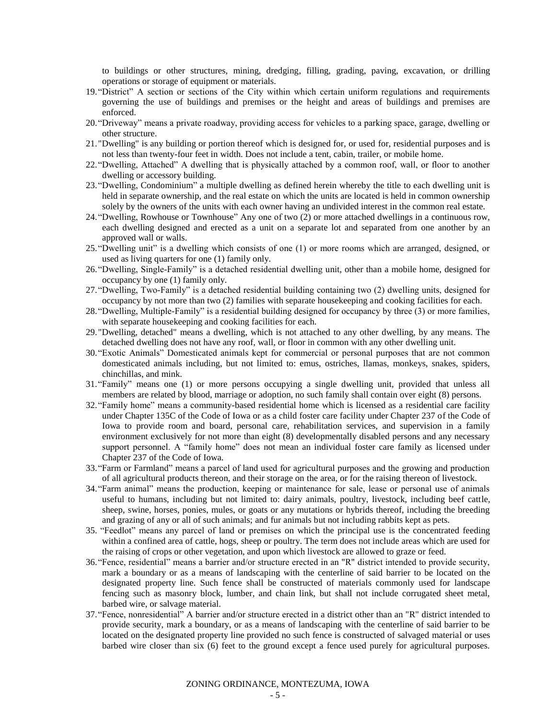to buildings or other structures, mining, dredging, filling, grading, paving, excavation, or drilling operations or storage of equipment or materials.

- 19."District" A section or sections of the City within which certain uniform regulations and requirements governing the use of buildings and premises or the height and areas of buildings and premises are enforced.
- 20."Driveway" means a private roadway, providing access for vehicles to a parking space, garage, dwelling or other structure.
- 21."Dwelling" is any building or portion thereof which is designed for, or used for, residential purposes and is not less than twenty-four feet in width. Does not include a tent, cabin, trailer, or mobile home.
- 22."Dwelling, Attached" A dwelling that is physically attached by a common roof, wall, or floor to another dwelling or accessory building.
- 23."Dwelling, Condominium" a multiple dwelling as defined herein whereby the title to each dwelling unit is held in separate ownership, and the real estate on which the units are located is held in common ownership solely by the owners of the units with each owner having an undivided interest in the common real estate.
- 24."Dwelling, Rowhouse or Townhouse" Any one of two (2) or more attached dwellings in a continuous row, each dwelling designed and erected as a unit on a separate lot and separated from one another by an approved wall or walls.
- 25."Dwelling unit" is a dwelling which consists of one (1) or more rooms which are arranged, designed, or used as living quarters for one (1) family only.
- 26."Dwelling, Single-Family" is a detached residential dwelling unit, other than a mobile home, designed for occupancy by one (1) family only.
- 27."Dwelling, Two-Family" is a detached residential building containing two (2) dwelling units, designed for occupancy by not more than two (2) families with separate housekeeping and cooking facilities for each.
- 28."Dwelling, Multiple-Family" is a residential building designed for occupancy by three (3) or more families, with separate housekeeping and cooking facilities for each.
- 29."Dwelling, detached" means a dwelling, which is not attached to any other dwelling, by any means. The detached dwelling does not have any roof, wall, or floor in common with any other dwelling unit.
- 30."Exotic Animals" Domesticated animals kept for commercial or personal purposes that are not common domesticated animals including, but not limited to: emus, ostriches, llamas, monkeys, snakes, spiders, chinchillas, and mink.
- 31."Family" means one (1) or more persons occupying a single dwelling unit, provided that unless all members are related by blood, marriage or adoption, no such family shall contain over eight (8) persons.
- 32."Family home" means a community-based residential home which is licensed as a residential care facility under Chapter 135C of the Code of Iowa or as a child foster care facility under Chapter 237 of the Code of Iowa to provide room and board, personal care, rehabilitation services, and supervision in a family environment exclusively for not more than eight (8) developmentally disabled persons and any necessary support personnel. A "family home" does not mean an individual foster care family as licensed under Chapter 237 of the Code of Iowa.
- 33."Farm or Farmland" means a parcel of land used for agricultural purposes and the growing and production of all agricultural products thereon, and their storage on the area, or for the raising thereon of livestock.
- 34."Farm animal" means the production, keeping or maintenance for sale, lease or personal use of animals useful to humans, including but not limited to: dairy animals, poultry, livestock, including beef cattle, sheep, swine, horses, ponies, mules, or goats or any mutations or hybrids thereof, including the breeding and grazing of any or all of such animals; and fur animals but not including rabbits kept as pets.
- 35. "Feedlot" means any parcel of land or premises on which the principal use is the concentrated feeding within a confined area of cattle, hogs, sheep or poultry. The term does not include areas which are used for the raising of crops or other vegetation, and upon which livestock are allowed to graze or feed.
- 36."Fence, residential" means a barrier and/or structure erected in an "R" district intended to provide security, mark a boundary or as a means of landscaping with the centerline of said barrier to be located on the designated property line. Such fence shall be constructed of materials commonly used for landscape fencing such as masonry block, lumber, and chain link, but shall not include corrugated sheet metal, barbed wire, or salvage material.
- 37."Fence, nonresidential" A barrier and/or structure erected in a district other than an "R" district intended to provide security, mark a boundary, or as a means of landscaping with the centerline of said barrier to be located on the designated property line provided no such fence is constructed of salvaged material or uses barbed wire closer than six (6) feet to the ground except a fence used purely for agricultural purposes.

ZONING ORDINANCE, MONTEZUMA, IOWA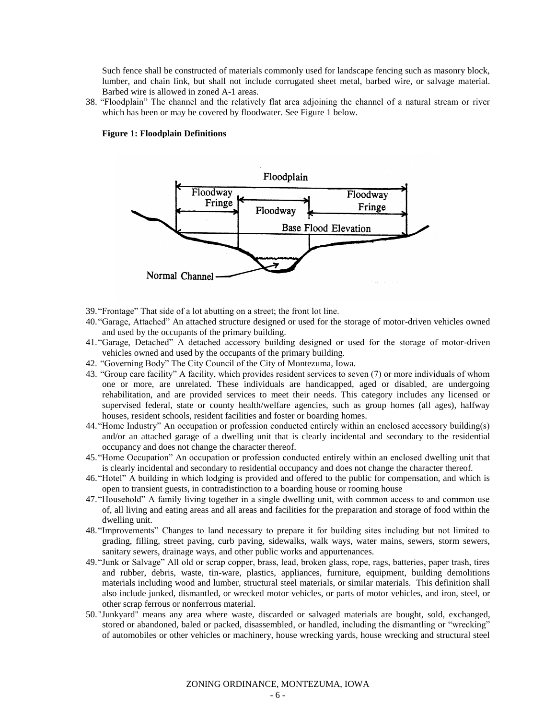Such fence shall be constructed of materials commonly used for landscape fencing such as masonry block, lumber, and chain link, but shall not include corrugated sheet metal, barbed wire, or salvage material. Barbed wire is allowed in zoned A-1 areas.

38. "Floodplain" The channel and the relatively flat area adjoining the channel of a natural stream or river which has been or may be covered by floodwater. See Figure 1 below.

#### **Figure 1: Floodplain Definitions**



- 39."Frontage" That side of a lot abutting on a street; the front lot line.
- 40."Garage, Attached" An attached structure designed or used for the storage of motor-driven vehicles owned and used by the occupants of the primary building.
- 41."Garage, Detached" A detached accessory building designed or used for the storage of motor-driven vehicles owned and used by the occupants of the primary building.
- 42. "Governing Body" The City Council of the City of Montezuma, Iowa.
- 43. "Group care facility" A facility, which provides resident services to seven (7) or more individuals of whom one or more, are unrelated. These individuals are handicapped, aged or disabled, are undergoing rehabilitation, and are provided services to meet their needs. This category includes any licensed or supervised federal, state or county health/welfare agencies, such as group homes (all ages), halfway houses, resident schools, resident facilities and foster or boarding homes.
- 44."Home Industry" An occupation or profession conducted entirely within an enclosed accessory building(s) and/or an attached garage of a dwelling unit that is clearly incidental and secondary to the residential occupancy and does not change the character thereof.
- 45."Home Occupation" An occupation or profession conducted entirely within an enclosed dwelling unit that is clearly incidental and secondary to residential occupancy and does not change the character thereof.
- 46."Hotel" A building in which lodging is provided and offered to the public for compensation, and which is open to transient guests, in contradistinction to a boarding house or rooming house
- 47."Household" A family living together in a single dwelling unit, with common access to and common use of, all living and eating areas and all areas and facilities for the preparation and storage of food within the dwelling unit.
- 48."Improvements" Changes to land necessary to prepare it for building sites including but not limited to grading, filling, street paving, curb paving, sidewalks, walk ways, water mains, sewers, storm sewers, sanitary sewers, drainage ways, and other public works and appurtenances.
- 49."Junk or Salvage" All old or scrap copper, brass, lead, broken glass, rope, rags, batteries, paper trash, tires and rubber, debris, waste, tin-ware, plastics, appliances, furniture, equipment, building demolitions materials including wood and lumber, structural steel materials, or similar materials. This definition shall also include junked, dismantled, or wrecked motor vehicles, or parts of motor vehicles, and iron, steel, or other scrap ferrous or nonferrous material.
- 50."Junkyard" means any area where waste, discarded or salvaged materials are bought, sold, exchanged, stored or abandoned, baled or packed, disassembled, or handled, including the dismantling or "wrecking" of automobiles or other vehicles or machinery, house wrecking yards, house wrecking and structural steel

ZONING ORDINANCE, MONTEZUMA, IOWA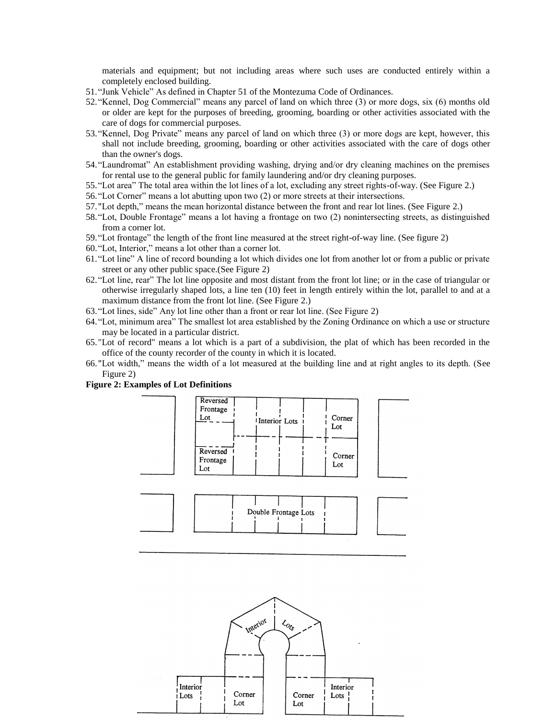materials and equipment; but not including areas where such uses are conducted entirely within a completely enclosed building.

- 51."Junk Vehicle" As defined in Chapter 51 of the Montezuma Code of Ordinances.
- 52."Kennel, Dog Commercial" means any parcel of land on which three (3) or more dogs, six (6) months old or older are kept for the purposes of breeding, grooming, boarding or other activities associated with the care of dogs for commercial purposes.
- 53."Kennel, Dog Private" means any parcel of land on which three (3) or more dogs are kept, however, this shall not include breeding, grooming, boarding or other activities associated with the care of dogs other than the owner's dogs.
- 54."Laundromat" An establishment providing washing, drying and/or dry cleaning machines on the premises for rental use to the general public for family laundering and/or dry cleaning purposes.
- 55."Lot area" The total area within the lot lines of a lot, excluding any street rights-of-way. (See Figure 2.)
- 56."Lot Corner" means a lot abutting upon two (2) or more streets at their intersections.
- 57."Lot depth," means the mean horizontal distance between the front and rear lot lines. (See Figure 2.)
- 58."Lot, Double Frontage" means a lot having a frontage on two (2) nonintersecting streets, as distinguished from a corner lot.
- 59."Lot frontage" the length of the front line measured at the street right-of-way line. (See figure 2)
- 60."Lot, Interior," means a lot other than a corner lot.
- 61."Lot line" A line of record bounding a lot which divides one lot from another lot or from a public or private street or any other public space.(See Figure 2)
- 62."Lot line, rear" The lot line opposite and most distant from the front lot line; or in the case of triangular or otherwise irregularly shaped lots, a line ten (10) feet in length entirely within the lot, parallel to and at a maximum distance from the front lot line. (See Figure 2.)
- 63."Lot lines, side" Any lot line other than a front or rear lot line. (See Figure 2)
- 64."Lot, minimum area" The smallest lot area established by the Zoning Ordinance on which a use or structure may be located in a particular district.
- 65."Lot of record" means a lot which is a part of a subdivision, the plat of which has been recorded in the office of the county recorder of the county in which it is located.
- 66."Lot width," means the width of a lot measured at the building line and at right angles to its depth. (See Figure 2)





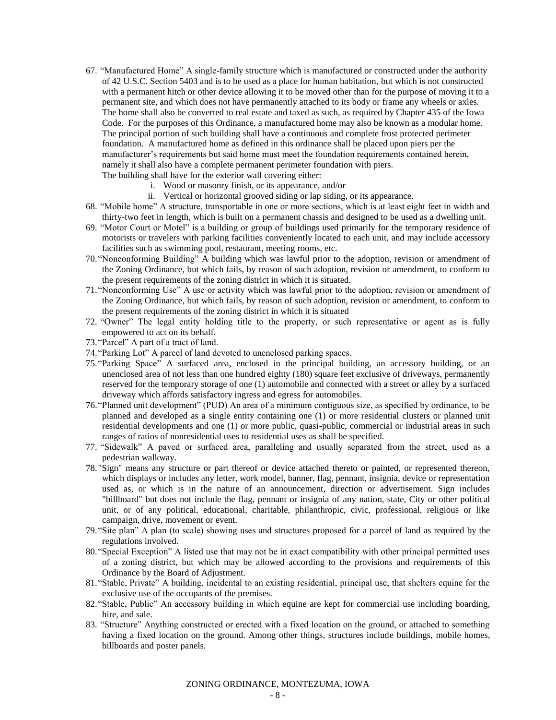- 67. "Manufactured Home" A single-family structure which is manufactured or constructed under the authority of 42 U.S.C. Section 5403 and is to be used as a place for human habitation, but which is not constructed with a permanent hitch or other device allowing it to be moved other than for the purpose of moving it to a permanent site, and which does not have permanently attached to its body or frame any wheels or axles. The home shall also be converted to real estate and taxed as such, as required by Chapter 435 of the Iowa Code. For the purposes of this Ordinance, a manufactured home may also be known as a modular home. The principal portion of such building shall have a continuous and complete frost protected perimeter foundation. A manufactured home as defined in this ordinance shall be placed upon piers per the manufacturer's requirements but said home must meet the foundation requirements contained herein, namely it shall also have a complete permanent perimeter foundation with piers. The building shall have for the exterior wall covering either:
	- i. Wood or masonry finish, or its appearance, and/or
	- ii. Vertical or horizontal grooved siding or lap siding, or its appearance.
- 68. "Mobile home" A structure, transportable in one or more sections, which is at least eight feet in width and thirty-two feet in length, which is built on a permanent chassis and designed to be used as a dwelling unit.
- 69. "Motor Court or Motel" is a building or group of buildings used primarily for the temporary residence of motorists or travelers with parking facilities conveniently located to each unit, and may include accessory facilities such as swimming pool, restaurant, meeting rooms, etc.
- 70."Nonconforming Building" A building which was lawful prior to the adoption, revision or amendment of the Zoning Ordinance, but which fails, by reason of such adoption, revision or amendment, to conform to the present requirements of the zoning district in which it is situated.
- 71."Nonconforming Use" A use or activity which was lawful prior to the adoption, revision or amendment of the Zoning Ordinance, but which fails, by reason of such adoption, revision or amendment, to conform to the present requirements of the zoning district in which it is situated
- 72. "Owner" The legal entity holding title to the property, or such representative or agent as is fully empowered to act on its behalf.
- 73."Parcel" A part of a tract of land.
- 74."Parking Lot" A parcel of land devoted to unenclosed parking spaces.
- 75."Parking Space" A surfaced area, enclosed in the principal building, an accessory building, or an unenclosed area of not less than one hundred eighty (180) square feet exclusive of driveways, permanently reserved for the temporary storage of one (1) automobile and connected with a street or alley by a surfaced driveway which affords satisfactory ingress and egress for automobiles.
- 76."Planned unit development" (PUD) An area of a minimum contiguous size, as specified by ordinance, to be planned and developed as a single entity containing one (1) or more residential clusters or planned unit residential developments and one (1) or more public, quasi-public, commercial or industrial areas in such ranges of ratios of nonresidential uses to residential uses as shall be specified.
- 77. "Sidewalk" A paved or surfaced area, paralleling and usually separated from the street, used as a pedestrian walkway.
- 78."Sign" means any structure or part thereof or device attached thereto or painted, or represented thereon, which displays or includes any letter, work model, banner, flag, pennant, insignia, device or representation used as, or which is in the nature of an announcement, direction or advertisement. Sign includes "billboard" but does not include the flag, pennant or insignia of any nation, state, City or other political unit, or of any political, educational, charitable, philanthropic, civic, professional, religious or like campaign, drive, movement or event.
- 79."Site plan" A plan (to scale) showing uses and structures proposed for a parcel of land as required by the regulations involved.
- 80."Special Exception" A listed use that may not be in exact compatibility with other principal permitted uses of a zoning district, but which may be allowed according to the provisions and requirements of this Ordinance by the Board of Adjustment.
- 81."Stable, Private" A building, incidental to an existing residential, principal use, that shelters equine for the exclusive use of the occupants of the premises.
- 82."Stable, Public" An accessory building in which equine are kept for commercial use including boarding, hire, and sale.
- 83. "Structure" Anything constructed or erected with a fixed location on the ground, or attached to something having a fixed location on the ground. Among other things, structures include buildings, mobile homes, billboards and poster panels.

ZONING ORDINANCE, MONTEZUMA, IOWA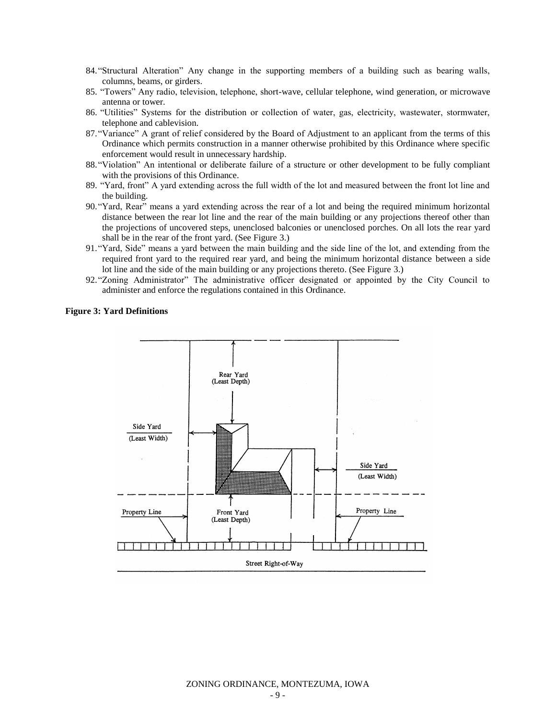- 84."Structural Alteration" Any change in the supporting members of a building such as bearing walls, columns, beams, or girders.
- 85. "Towers" Any radio, television, telephone, short-wave, cellular telephone, wind generation, or microwave antenna or tower.
- 86. "Utilities" Systems for the distribution or collection of water, gas, electricity, wastewater, stormwater, telephone and cablevision.
- 87."Variance" A grant of relief considered by the Board of Adjustment to an applicant from the terms of this Ordinance which permits construction in a manner otherwise prohibited by this Ordinance where specific enforcement would result in unnecessary hardship.
- 88."Violation" An intentional or deliberate failure of a structure or other development to be fully compliant with the provisions of this Ordinance.
- 89. "Yard, front" A yard extending across the full width of the lot and measured between the front lot line and the building.
- 90."Yard, Rear" means a yard extending across the rear of a lot and being the required minimum horizontal distance between the rear lot line and the rear of the main building or any projections thereof other than the projections of uncovered steps, unenclosed balconies or unenclosed porches. On all lots the rear yard shall be in the rear of the front yard. (See Figure 3.)
- 91."Yard, Side" means a yard between the main building and the side line of the lot, and extending from the required front yard to the required rear yard, and being the minimum horizontal distance between a side lot line and the side of the main building or any projections thereto. (See Figure 3.)
- 92."Zoning Administrator" The administrative officer designated or appointed by the City Council to administer and enforce the regulations contained in this Ordinance.

#### **Figure 3: Yard Definitions**

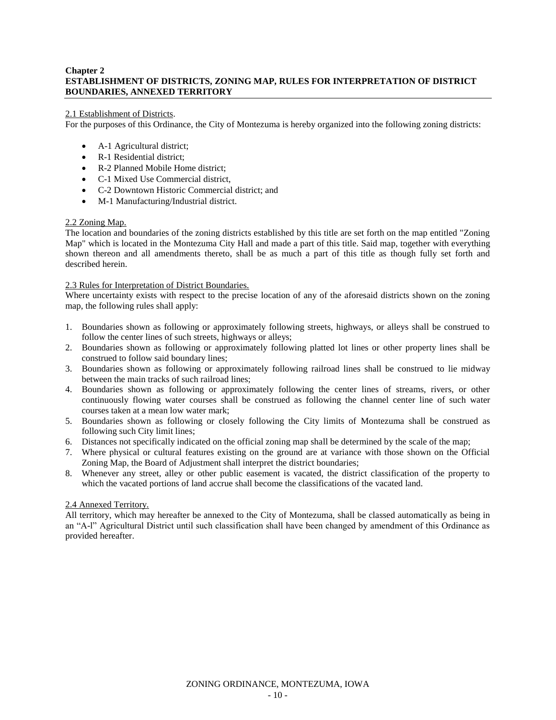# **Chapter 2 ESTABLISHMENT OF DISTRICTS, ZONING MAP, RULES FOR INTERPRETATION OF DISTRICT BOUNDARIES, ANNEXED TERRITORY**

## 2.1 Establishment of Districts.

For the purposes of this Ordinance, the City of Montezuma is hereby organized into the following zoning districts:

- A-1 Agricultural district;
- R-1 Residential district;
- R-2 Planned Mobile Home district:
- C-1 Mixed Use Commercial district,
- C-2 Downtown Historic Commercial district; and
- M-1 Manufacturing/Industrial district.

# 2.2 Zoning Map.

The location and boundaries of the zoning districts established by this title are set forth on the map entitled "Zoning Map" which is located in the Montezuma City Hall and made a part of this title. Said map, together with everything shown thereon and all amendments thereto, shall be as much a part of this title as though fully set forth and described herein.

# 2.3 Rules for Interpretation of District Boundaries.

Where uncertainty exists with respect to the precise location of any of the aforesaid districts shown on the zoning map, the following rules shall apply:

- 1. Boundaries shown as following or approximately following streets, highways, or alleys shall be construed to follow the center lines of such streets, highways or alleys;
- 2. Boundaries shown as following or approximately following platted lot lines or other property lines shall be construed to follow said boundary lines;
- 3. Boundaries shown as following or approximately following railroad lines shall be construed to lie midway between the main tracks of such railroad lines;
- 4. Boundaries shown as following or approximately following the center lines of streams, rivers, or other continuously flowing water courses shall be construed as following the channel center line of such water courses taken at a mean low water mark;
- 5. Boundaries shown as following or closely following the City limits of Montezuma shall be construed as following such City limit lines;
- 6. Distances not specifically indicated on the official zoning map shall be determined by the scale of the map;
- 7. Where physical or cultural features existing on the ground are at variance with those shown on the Official Zoning Map, the Board of Adjustment shall interpret the district boundaries;
- 8. Whenever any street, alley or other public easement is vacated, the district classification of the property to which the vacated portions of land accrue shall become the classifications of the vacated land.

# 2.4 Annexed Territory.

All territory, which may hereafter be annexed to the City of Montezuma, shall be classed automatically as being in an "A-l" Agricultural District until such classification shall have been changed by amendment of this Ordinance as provided hereafter.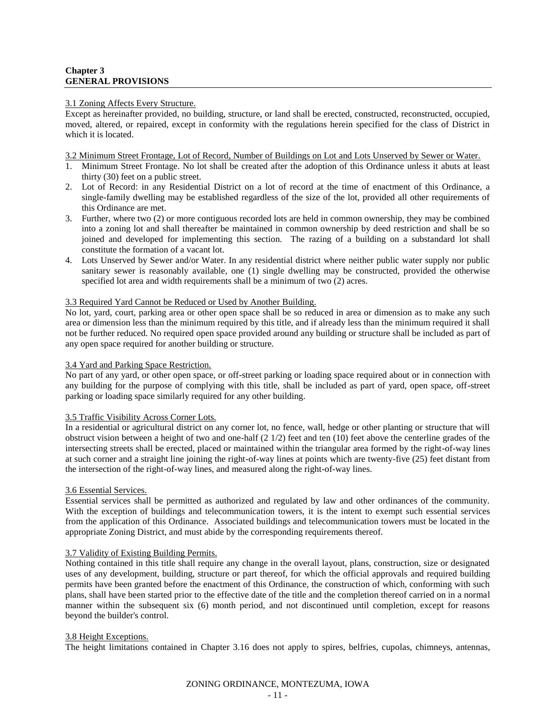## **Chapter 3 GENERAL PROVISIONS**

#### 3.1 Zoning Affects Every Structure.

Except as hereinafter provided, no building, structure, or land shall be erected, constructed, reconstructed, occupied, moved, altered, or repaired, except in conformity with the regulations herein specified for the class of District in which it is located.

#### 3.2 Minimum Street Frontage, Lot of Record, Number of Buildings on Lot and Lots Unserved by Sewer or Water.

- 1. Minimum Street Frontage. No lot shall be created after the adoption of this Ordinance unless it abuts at least thirty (30) feet on a public street.
- 2. Lot of Record: in any Residential District on a lot of record at the time of enactment of this Ordinance, a single-family dwelling may be established regardless of the size of the lot, provided all other requirements of this Ordinance are met.
- 3. Further, where two (2) or more contiguous recorded lots are held in common ownership, they may be combined into a zoning lot and shall thereafter be maintained in common ownership by deed restriction and shall be so joined and developed for implementing this section. The razing of a building on a substandard lot shall constitute the formation of a vacant lot.
- 4. Lots Unserved by Sewer and/or Water. In any residential district where neither public water supply nor public sanitary sewer is reasonably available, one (1) single dwelling may be constructed, provided the otherwise specified lot area and width requirements shall be a minimum of two (2) acres.

# 3.3 Required Yard Cannot be Reduced or Used by Another Building.

No lot, yard, court, parking area or other open space shall be so reduced in area or dimension as to make any such area or dimension less than the minimum required by this title, and if already less than the minimum required it shall not be further reduced. No required open space provided around any building or structure shall be included as part of any open space required for another building or structure.

# 3.4 Yard and Parking Space Restriction.

No part of any yard, or other open space, or off-street parking or loading space required about or in connection with any building for the purpose of complying with this title, shall be included as part of yard, open space, off-street parking or loading space similarly required for any other building.

# 3.5 Traffic Visibility Across Corner Lots.

In a residential or agricultural district on any corner lot, no fence, wall, hedge or other planting or structure that will obstruct vision between a height of two and one-half  $(2 \frac{1}{2})$  feet and ten  $(10)$  feet above the centerline grades of the intersecting streets shall be erected, placed or maintained within the triangular area formed by the right-of-way lines at such corner and a straight line joining the right-of-way lines at points which are twenty-five (25) feet distant from the intersection of the right-of-way lines, and measured along the right-of-way lines.

# 3.6 Essential Services.

Essential services shall be permitted as authorized and regulated by law and other ordinances of the community. With the exception of buildings and telecommunication towers, it is the intent to exempt such essential services from the application of this Ordinance. Associated buildings and telecommunication towers must be located in the appropriate Zoning District, and must abide by the corresponding requirements thereof.

# 3.7 Validity of Existing Building Permits.

Nothing contained in this title shall require any change in the overall layout, plans, construction, size or designated uses of any development, building, structure or part thereof, for which the official approvals and required building permits have been granted before the enactment of this Ordinance, the construction of which, conforming with such plans, shall have been started prior to the effective date of the title and the completion thereof carried on in a normal manner within the subsequent six (6) month period, and not discontinued until completion, except for reasons beyond the builder's control.

# 3.8 Height Exceptions.

The height limitations contained in Chapter 3.16 does not apply to spires, belfries, cupolas, chimneys, antennas,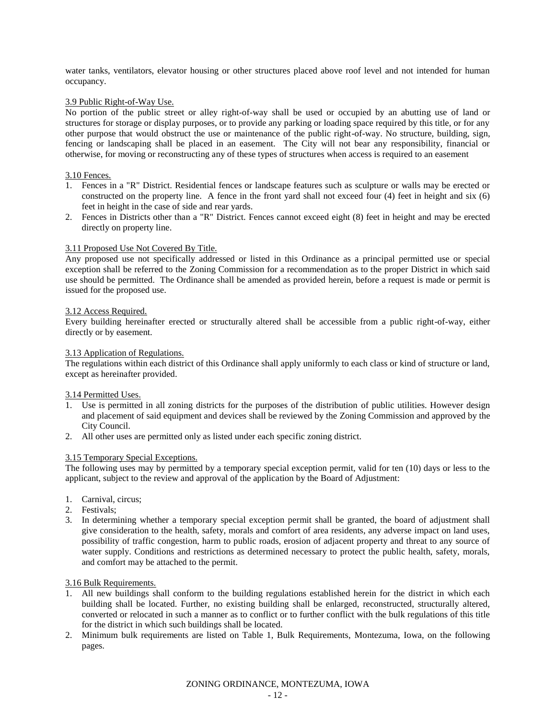water tanks, ventilators, elevator housing or other structures placed above roof level and not intended for human occupancy.

### 3.9 Public Right-of-Way Use.

No portion of the public street or alley right-of-way shall be used or occupied by an abutting use of land or structures for storage or display purposes, or to provide any parking or loading space required by this title, or for any other purpose that would obstruct the use or maintenance of the public right-of-way. No structure, building, sign, fencing or landscaping shall be placed in an easement. The City will not bear any responsibility, financial or otherwise, for moving or reconstructing any of these types of structures when access is required to an easement

#### 3.10 Fences.

- 1. Fences in a "R" District. Residential fences or landscape features such as sculpture or walls may be erected or constructed on the property line. A fence in the front yard shall not exceed four (4) feet in height and six (6) feet in height in the case of side and rear yards.
- 2. Fences in Districts other than a "R" District. Fences cannot exceed eight (8) feet in height and may be erected directly on property line.

#### 3.11 Proposed Use Not Covered By Title.

Any proposed use not specifically addressed or listed in this Ordinance as a principal permitted use or special exception shall be referred to the Zoning Commission for a recommendation as to the proper District in which said use should be permitted. The Ordinance shall be amended as provided herein, before a request is made or permit is issued for the proposed use.

#### 3.12 Access Required.

Every building hereinafter erected or structurally altered shall be accessible from a public right-of-way, either directly or by easement.

#### 3.13 Application of Regulations.

The regulations within each district of this Ordinance shall apply uniformly to each class or kind of structure or land, except as hereinafter provided.

#### 3.14 Permitted Uses.

- 1. Use is permitted in all zoning districts for the purposes of the distribution of public utilities. However design and placement of said equipment and devices shall be reviewed by the Zoning Commission and approved by the City Council.
- 2. All other uses are permitted only as listed under each specific zoning district.

# 3.15 Temporary Special Exceptions.

The following uses may by permitted by a temporary special exception permit, valid for ten (10) days or less to the applicant, subject to the review and approval of the application by the Board of Adjustment:

- 1. Carnival, circus;
- 2. Festivals;
- 3. In determining whether a temporary special exception permit shall be granted, the board of adjustment shall give consideration to the health, safety, morals and comfort of area residents, any adverse impact on land uses, possibility of traffic congestion, harm to public roads, erosion of adjacent property and threat to any source of water supply. Conditions and restrictions as determined necessary to protect the public health, safety, morals, and comfort may be attached to the permit.

#### 3.16 Bulk Requirements.

- 1. All new buildings shall conform to the building regulations established herein for the district in which each building shall be located. Further, no existing building shall be enlarged, reconstructed, structurally altered, converted or relocated in such a manner as to conflict or to further conflict with the bulk regulations of this title for the district in which such buildings shall be located.
- 2. Minimum bulk requirements are listed on Table 1, Bulk Requirements, Montezuma, Iowa, on the following pages.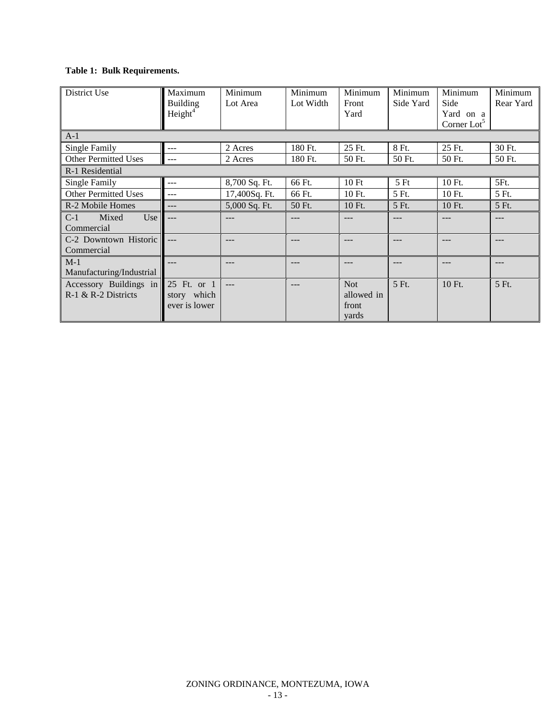# **Table 1: Bulk Requirements.**

| District Use                                                  | Maximum<br><b>Building</b><br>Height <sup>4</sup> | Minimum<br>Lot Area | Minimum<br>Lot Width | Minimum<br>Front<br>Yard                   | Minimum<br>Side Yard | Minimum<br>Side<br>Yard on a<br>Corner $Lot5$ | Minimum<br>Rear Yard |
|---------------------------------------------------------------|---------------------------------------------------|---------------------|----------------------|--------------------------------------------|----------------------|-----------------------------------------------|----------------------|
| $A-1$                                                         |                                                   |                     |                      |                                            |                      |                                               |                      |
| Single Family                                                 | ---                                               | 2 Acres             | 180 Ft.              | 25 Ft.                                     | 8 Ft.                | 25 Ft.                                        | 30 Ft.               |
| <b>Other Permitted Uses</b>                                   | $---$                                             | 2 Acres             | 180 Ft.              | 50 Ft.                                     | 50 Ft.               | 50 Ft.                                        | 50 Ft.               |
| R-1 Residential                                               |                                                   |                     |                      |                                            |                      |                                               |                      |
| Single Family                                                 | ---                                               | 8,700 Sq. Ft.       | 66 Ft.               | 10Ft                                       | 5Ft                  | 10 Ft.                                        | 5Ft.                 |
| <b>Other Permitted Uses</b>                                   | ---                                               | 17,400Sq. Ft.       | 66 Ft.               | 10 Ft.                                     | 5 Ft.                | 10 Ft.                                        | 5 Ft.                |
| R-2 Mobile Homes                                              | $---$                                             | 5,000 Sq. Ft.       | 50 Ft.               | 10 Ft.                                     | 5 Ft.                | 10 Ft.                                        | 5 Ft.                |
| Mixed<br>Use<br>$C-1$<br>Commercial                           | $---$                                             | ---                 |                      |                                            |                      |                                               | ---                  |
| C-2 Downtown Historic<br>Commercial                           |                                                   | ---                 | $---$                |                                            | ---                  | ---                                           | ---                  |
| $M-1$<br>Manufacturing/Industrial                             | ---                                               | ---                 | $- - -$              | ---                                        | ---                  | $- - -$                                       | ---                  |
| Accessory Buildings in 25 Ft. or 1<br>$R-1$ & $R-2$ Districts | story which<br>ever is lower                      | $---$               | ---                  | <b>Not</b><br>allowed in<br>front<br>yards | 5 Ft.                | $10Ft$ .                                      | 5 Ft.                |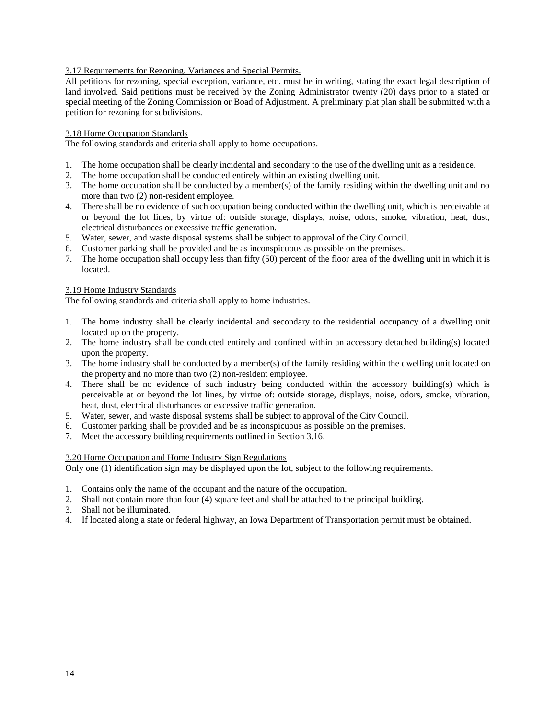# 3.17 Requirements for Rezoning, Variances and Special Permits.

All petitions for rezoning, special exception, variance, etc. must be in writing, stating the exact legal description of land involved. Said petitions must be received by the Zoning Administrator twenty (20) days prior to a stated or special meeting of the Zoning Commission or Boad of Adjustment. A preliminary plat plan shall be submitted with a petition for rezoning for subdivisions.

#### 3.18 Home Occupation Standards

The following standards and criteria shall apply to home occupations.

- 1. The home occupation shall be clearly incidental and secondary to the use of the dwelling unit as a residence.
- 2. The home occupation shall be conducted entirely within an existing dwelling unit.
- 3. The home occupation shall be conducted by a member(s) of the family residing within the dwelling unit and no more than two (2) non-resident employee.
- 4. There shall be no evidence of such occupation being conducted within the dwelling unit, which is perceivable at or beyond the lot lines, by virtue of: outside storage, displays, noise, odors, smoke, vibration, heat, dust, electrical disturbances or excessive traffic generation.
- 5. Water, sewer, and waste disposal systems shall be subject to approval of the City Council.
- 6. Customer parking shall be provided and be as inconspicuous as possible on the premises.
- 7. The home occupation shall occupy less than fifty (50) percent of the floor area of the dwelling unit in which it is located.

## 3.19 Home Industry Standards

The following standards and criteria shall apply to home industries.

- 1. The home industry shall be clearly incidental and secondary to the residential occupancy of a dwelling unit located up on the property.
- 2. The home industry shall be conducted entirely and confined within an accessory detached building(s) located upon the property.
- 3. The home industry shall be conducted by a member(s) of the family residing within the dwelling unit located on the property and no more than two (2) non-resident employee.
- 4. There shall be no evidence of such industry being conducted within the accessory building(s) which is perceivable at or beyond the lot lines, by virtue of: outside storage, displays, noise, odors, smoke, vibration, heat, dust, electrical disturbances or excessive traffic generation.
- 5. Water, sewer, and waste disposal systems shall be subject to approval of the City Council.
- 6. Customer parking shall be provided and be as inconspicuous as possible on the premises.
- 7. Meet the accessory building requirements outlined in Section 3.16.

#### 3.20 Home Occupation and Home Industry Sign Regulations

Only one (1) identification sign may be displayed upon the lot, subject to the following requirements.

- 1. Contains only the name of the occupant and the nature of the occupation.
- 2. Shall not contain more than four (4) square feet and shall be attached to the principal building.
- 3. Shall not be illuminated.
- 4. If located along a state or federal highway, an Iowa Department of Transportation permit must be obtained.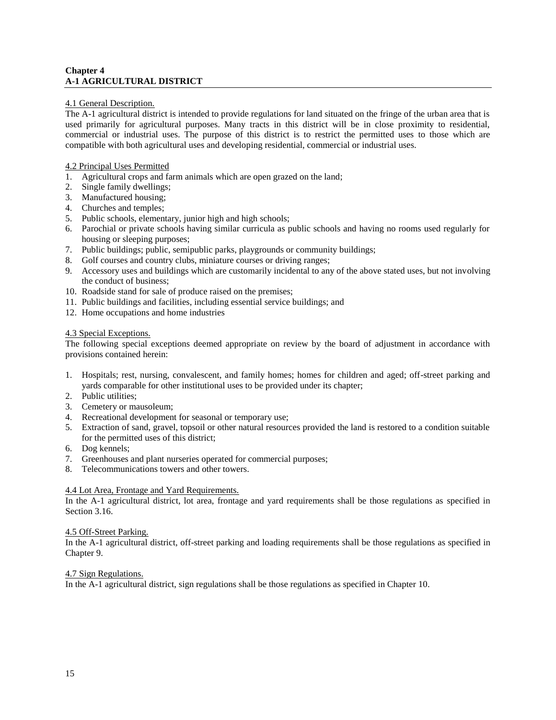# **Chapter 4 A-1 AGRICULTURAL DISTRICT**

## 4.1 General Description.

The A-1 agricultural district is intended to provide regulations for land situated on the fringe of the urban area that is used primarily for agricultural purposes. Many tracts in this district will be in close proximity to residential, commercial or industrial uses. The purpose of this district is to restrict the permitted uses to those which are compatible with both agricultural uses and developing residential, commercial or industrial uses.

## 4.2 Principal Uses Permitted

- 1. Agricultural crops and farm animals which are open grazed on the land;
- 2. Single family dwellings;
- 3. Manufactured housing;
- 4. Churches and temples;
- 5. Public schools, elementary, junior high and high schools;
- 6. Parochial or private schools having similar curricula as public schools and having no rooms used regularly for housing or sleeping purposes;
- 7. Public buildings; public, semipublic parks, playgrounds or community buildings;
- 8. Golf courses and country clubs, miniature courses or driving ranges;
- 9. Accessory uses and buildings which are customarily incidental to any of the above stated uses, but not involving the conduct of business;
- 10. Roadside stand for sale of produce raised on the premises;
- 11. Public buildings and facilities, including essential service buildings; and
- 12. Home occupations and home industries

#### 4.3 Special Exceptions.

The following special exceptions deemed appropriate on review by the board of adjustment in accordance with provisions contained herein:

- 1. Hospitals; rest, nursing, convalescent, and family homes; homes for children and aged; off-street parking and yards comparable for other institutional uses to be provided under its chapter;
- 2. Public utilities;
- 3. Cemetery or mausoleum;
- 4. Recreational development for seasonal or temporary use;
- 5. Extraction of sand, gravel, topsoil or other natural resources provided the land is restored to a condition suitable for the permitted uses of this district;
- 6. Dog kennels;
- 7. Greenhouses and plant nurseries operated for commercial purposes;
- 8. Telecommunications towers and other towers.

# 4.4 Lot Area, Frontage and Yard Requirements.

In the A-1 agricultural district, lot area, frontage and yard requirements shall be those regulations as specified in Section 3.16.

#### 4.5 Off-Street Parking.

In the A-1 agricultural district, off-street parking and loading requirements shall be those regulations as specified in Chapter 9.

# 4.7 Sign Regulations.

In the A-1 agricultural district, sign regulations shall be those regulations as specified in Chapter 10.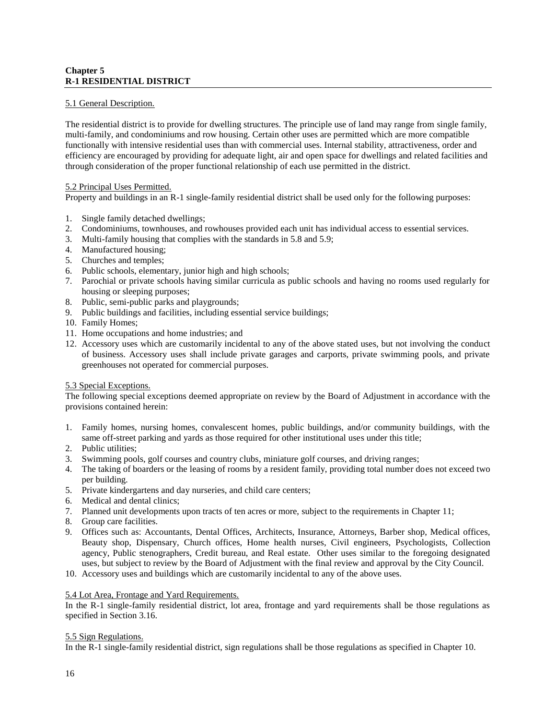# **Chapter 5 R-1 RESIDENTIAL DISTRICT**

# 5.1 General Description.

The residential district is to provide for dwelling structures. The principle use of land may range from single family, multi-family, and condominiums and row housing. Certain other uses are permitted which are more compatible functionally with intensive residential uses than with commercial uses. Internal stability, attractiveness, order and efficiency are encouraged by providing for adequate light, air and open space for dwellings and related facilities and through consideration of the proper functional relationship of each use permitted in the district.

#### 5.2 Principal Uses Permitted.

Property and buildings in an R-1 single-family residential district shall be used only for the following purposes:

- 1. Single family detached dwellings;
- 2. Condominiums, townhouses, and rowhouses provided each unit has individual access to essential services.
- 3. Multi-family housing that complies with the standards in 5.8 and 5.9;
- 4. Manufactured housing;
- 5. Churches and temples;
- 6. Public schools, elementary, junior high and high schools;
- 7. Parochial or private schools having similar curricula as public schools and having no rooms used regularly for housing or sleeping purposes;
- 8. Public, semi-public parks and playgrounds;
- 9. Public buildings and facilities, including essential service buildings;
- 10. Family Homes;
- 11. Home occupations and home industries; and
- 12. Accessory uses which are customarily incidental to any of the above stated uses, but not involving the conduct of business. Accessory uses shall include private garages and carports, private swimming pools, and private greenhouses not operated for commercial purposes.

#### 5.3 Special Exceptions.

The following special exceptions deemed appropriate on review by the Board of Adjustment in accordance with the provisions contained herein:

- 1. Family homes, nursing homes, convalescent homes, public buildings, and/or community buildings, with the same off-street parking and yards as those required for other institutional uses under this title;
- 2. Public utilities;
- 3. Swimming pools, golf courses and country clubs, miniature golf courses, and driving ranges;
- 4. The taking of boarders or the leasing of rooms by a resident family, providing total number does not exceed two per building.
- 5. Private kindergartens and day nurseries, and child care centers;
- 6. Medical and dental clinics;
- 7. Planned unit developments upon tracts of ten acres or more, subject to the requirements in Chapter 11;
- 8. Group care facilities.
- 9. Offices such as: Accountants, Dental Offices, Architects, Insurance, Attorneys, Barber shop, Medical offices, Beauty shop, Dispensary, Church offices, Home health nurses, Civil engineers, Psychologists, Collection agency, Public stenographers, Credit bureau, and Real estate. Other uses similar to the foregoing designated uses, but subject to review by the Board of Adjustment with the final review and approval by the City Council.
- 10. Accessory uses and buildings which are customarily incidental to any of the above uses.

# 5.4 Lot Area, Frontage and Yard Requirements.

In the R-1 single-family residential district, lot area, frontage and yard requirements shall be those regulations as specified in Section 3.16.

#### 5.5 Sign Regulations.

In the R-1 single-family residential district, sign regulations shall be those regulations as specified in Chapter 10.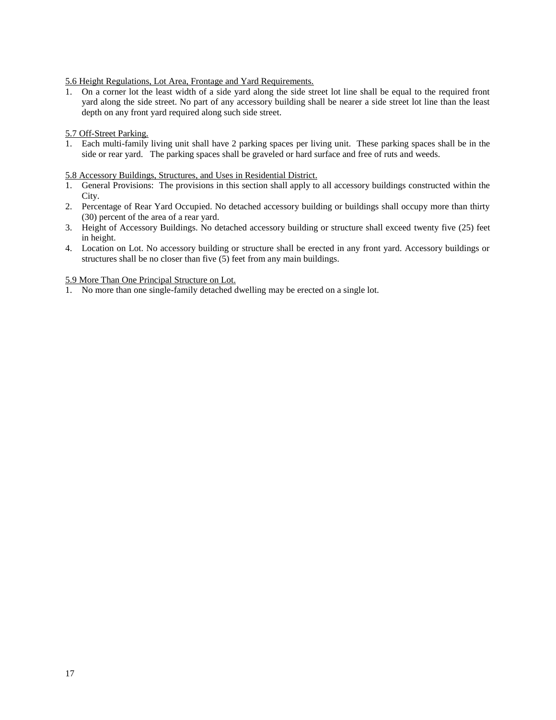### 5.6 Height Regulations, Lot Area, Frontage and Yard Requirements.

1. On a corner lot the least width of a side yard along the side street lot line shall be equal to the required front yard along the side street. No part of any accessory building shall be nearer a side street lot line than the least depth on any front yard required along such side street.

#### 5.7 Off-Street Parking.

1. Each multi-family living unit shall have 2 parking spaces per living unit. These parking spaces shall be in the side or rear yard. The parking spaces shall be graveled or hard surface and free of ruts and weeds.

#### 5.8 Accessory Buildings, Structures, and Uses in Residential District.

- 1. General Provisions: The provisions in this section shall apply to all accessory buildings constructed within the City.
- 2. Percentage of Rear Yard Occupied. No detached accessory building or buildings shall occupy more than thirty (30) percent of the area of a rear yard.
- 3. Height of Accessory Buildings. No detached accessory building or structure shall exceed twenty five (25) feet in height.
- 4. Location on Lot. No accessory building or structure shall be erected in any front yard. Accessory buildings or structures shall be no closer than five (5) feet from any main buildings.

#### 5.9 More Than One Principal Structure on Lot.

1. No more than one single-family detached dwelling may be erected on a single lot.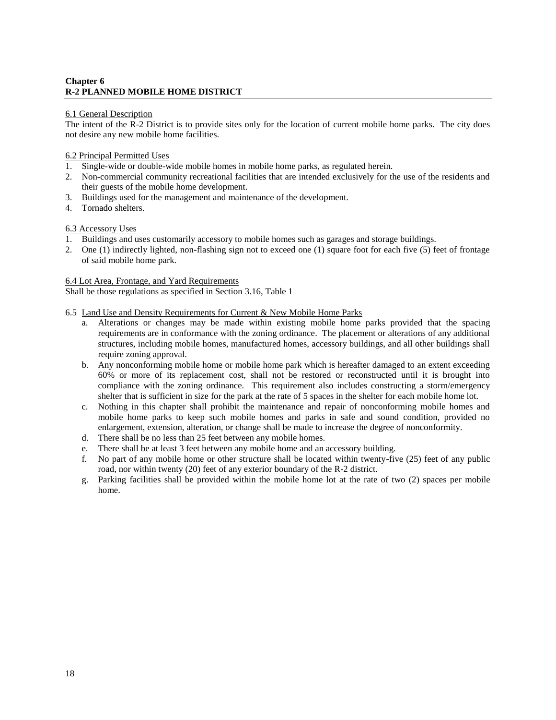# **Chapter 6 R-2 PLANNED MOBILE HOME DISTRICT**

#### 6.1 General Description

The intent of the R-2 District is to provide sites only for the location of current mobile home parks. The city does not desire any new mobile home facilities.

#### 6.2 Principal Permitted Uses

- 1. Single-wide or double-wide mobile homes in mobile home parks, as regulated herein.
- 2. Non-commercial community recreational facilities that are intended exclusively for the use of the residents and their guests of the mobile home development.
- 3. Buildings used for the management and maintenance of the development.
- 4. Tornado shelters.

#### 6.3 Accessory Uses

- 1. Buildings and uses customarily accessory to mobile homes such as garages and storage buildings.
- 2. One (1) indirectly lighted, non-flashing sign not to exceed one (1) square foot for each five (5) feet of frontage of said mobile home park.

## 6.4 Lot Area, Frontage, and Yard Requirements

Shall be those regulations as specified in Section 3.16, Table 1

#### 6.5 Land Use and Density Requirements for Current & New Mobile Home Parks

- a. Alterations or changes may be made within existing mobile home parks provided that the spacing requirements are in conformance with the zoning ordinance. The placement or alterations of any additional structures, including mobile homes, manufactured homes, accessory buildings, and all other buildings shall require zoning approval.
- b. Any nonconforming mobile home or mobile home park which is hereafter damaged to an extent exceeding 60% or more of its replacement cost, shall not be restored or reconstructed until it is brought into compliance with the zoning ordinance. This requirement also includes constructing a storm/emergency shelter that is sufficient in size for the park at the rate of 5 spaces in the shelter for each mobile home lot.
- c. Nothing in this chapter shall prohibit the maintenance and repair of nonconforming mobile homes and mobile home parks to keep such mobile homes and parks in safe and sound condition, provided no enlargement, extension, alteration, or change shall be made to increase the degree of nonconformity.
- d. There shall be no less than 25 feet between any mobile homes.
- e. There shall be at least 3 feet between any mobile home and an accessory building.
- f. No part of any mobile home or other structure shall be located within twenty-five (25) feet of any public road, nor within twenty (20) feet of any exterior boundary of the R-2 district.
- g. Parking facilities shall be provided within the mobile home lot at the rate of two (2) spaces per mobile home.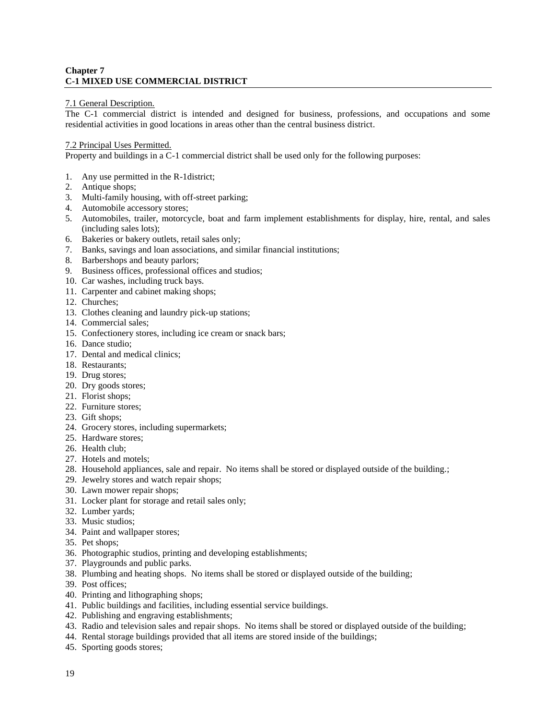# **Chapter 7 C-1 MIXED USE COMMERCIAL DISTRICT**

## 7.1 General Description.

The C-1 commercial district is intended and designed for business, professions, and occupations and some residential activities in good locations in areas other than the central business district.

## 7.2 Principal Uses Permitted.

Property and buildings in a C-1 commercial district shall be used only for the following purposes:

- 1. Any use permitted in the R-1district;
- 2. Antique shops;
- 3. Multi-family housing, with off-street parking;
- 4. Automobile accessory stores;
- 5. Automobiles, trailer, motorcycle, boat and farm implement establishments for display, hire, rental, and sales (including sales lots);
- 6. Bakeries or bakery outlets, retail sales only;
- 7. Banks, savings and loan associations, and similar financial institutions;
- 8. Barbershops and beauty parlors;
- 9. Business offices, professional offices and studios;
- 10. Car washes, including truck bays.
- 11. Carpenter and cabinet making shops;
- 12. Churches;
- 13. Clothes cleaning and laundry pick-up stations;
- 14. Commercial sales;
- 15. Confectionery stores, including ice cream or snack bars;
- 16. Dance studio;
- 17. Dental and medical clinics;
- 18. Restaurants;
- 19. Drug stores;
- 20. Dry goods stores;
- 21. Florist shops;
- 22. Furniture stores;
- 23. Gift shops;
- 24. Grocery stores, including supermarkets;
- 25. Hardware stores;
- 26. Health club;
- 27. Hotels and motels;
- 28. Household appliances, sale and repair. No items shall be stored or displayed outside of the building.;
- 29. Jewelry stores and watch repair shops;
- 30. Lawn mower repair shops;
- 31. Locker plant for storage and retail sales only;
- 32. Lumber yards;
- 33. Music studios;
- 34. Paint and wallpaper stores;
- 35. Pet shops;
- 36. Photographic studios, printing and developing establishments;
- 37. Playgrounds and public parks.
- 38. Plumbing and heating shops. No items shall be stored or displayed outside of the building;
- 39. Post offices;
- 40. Printing and lithographing shops;
- 41. Public buildings and facilities, including essential service buildings.
- 42. Publishing and engraving establishments;
- 43. Radio and television sales and repair shops. No items shall be stored or displayed outside of the building;
- 44. Rental storage buildings provided that all items are stored inside of the buildings;
- 45. Sporting goods stores;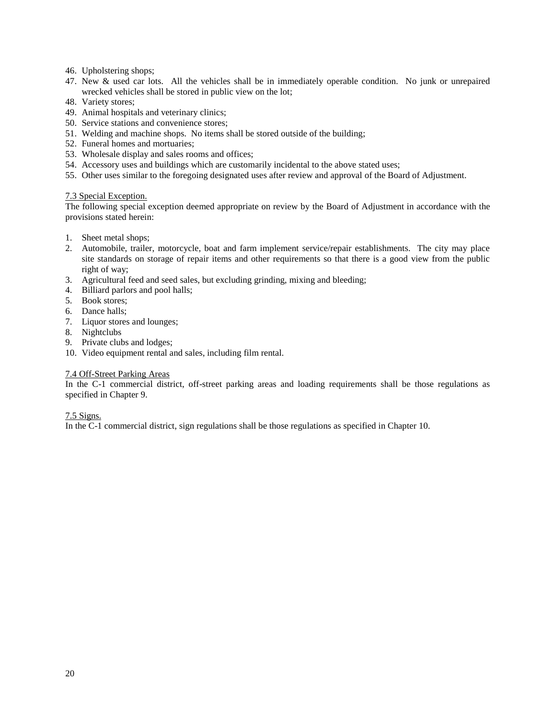- 46. Upholstering shops;
- 47. New & used car lots. All the vehicles shall be in immediately operable condition. No junk or unrepaired wrecked vehicles shall be stored in public view on the lot;
- 48. Variety stores;
- 49. Animal hospitals and veterinary clinics;
- 50. Service stations and convenience stores;
- 51. Welding and machine shops. No items shall be stored outside of the building;
- 52. Funeral homes and mortuaries;
- 53. Wholesale display and sales rooms and offices;
- 54. Accessory uses and buildings which are customarily incidental to the above stated uses;
- 55. Other uses similar to the foregoing designated uses after review and approval of the Board of Adjustment.

#### 7.3 Special Exception.

The following special exception deemed appropriate on review by the Board of Adjustment in accordance with the provisions stated herein:

- 1. Sheet metal shops;
- 2. Automobile, trailer, motorcycle, boat and farm implement service/repair establishments. The city may place site standards on storage of repair items and other requirements so that there is a good view from the public right of way;
- 3. Agricultural feed and seed sales, but excluding grinding, mixing and bleeding;
- 4. Billiard parlors and pool halls;
- 5. Book stores;
- 6. Dance halls;
- 7. Liquor stores and lounges;
- 8. Nightclubs
- 9. Private clubs and lodges;
- 10. Video equipment rental and sales, including film rental.

#### 7.4 Off-Street Parking Areas

In the C-1 commercial district, off-street parking areas and loading requirements shall be those regulations as specified in Chapter 9.

#### 7.5 Signs.

In the C-1 commercial district, sign regulations shall be those regulations as specified in Chapter 10.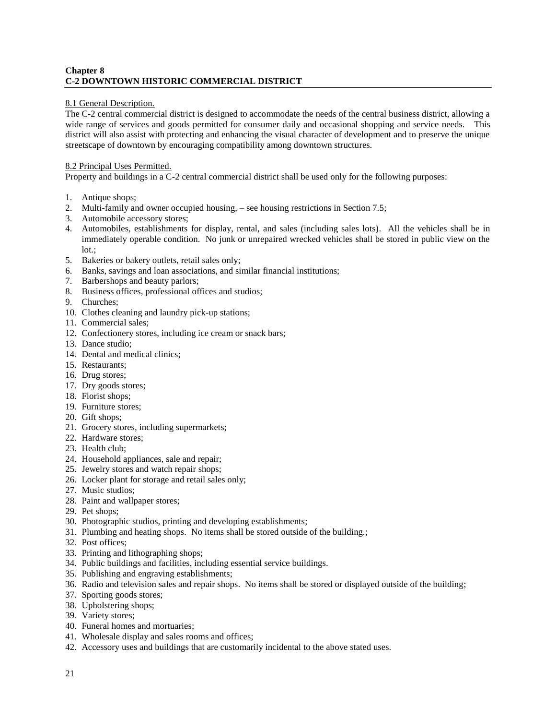# **Chapter 8 C-2 DOWNTOWN HISTORIC COMMERCIAL DISTRICT**

# 8.1 General Description.

The C-2 central commercial district is designed to accommodate the needs of the central business district, allowing a wide range of services and goods permitted for consumer daily and occasional shopping and service needs. This district will also assist with protecting and enhancing the visual character of development and to preserve the unique streetscape of downtown by encouraging compatibility among downtown structures.

## 8.2 Principal Uses Permitted.

Property and buildings in a C-2 central commercial district shall be used only for the following purposes:

- 1. Antique shops;
- 2. Multi-family and owner occupied housing, see housing restrictions in Section 7.5;
- 3. Automobile accessory stores;
- 4. Automobiles, establishments for display, rental, and sales (including sales lots). All the vehicles shall be in immediately operable condition. No junk or unrepaired wrecked vehicles shall be stored in public view on the lot.;
- 5. Bakeries or bakery outlets, retail sales only;
- 6. Banks, savings and loan associations, and similar financial institutions;
- 7. Barbershops and beauty parlors;
- 8. Business offices, professional offices and studios;
- 9. Churches;
- 10. Clothes cleaning and laundry pick-up stations;
- 11. Commercial sales;
- 12. Confectionery stores, including ice cream or snack bars;
- 13. Dance studio;
- 14. Dental and medical clinics;
- 15. Restaurants;
- 16. Drug stores;
- 17. Dry goods stores;
- 18. Florist shops;
- 19. Furniture stores;
- 20. Gift shops;
- 21. Grocery stores, including supermarkets;
- 22. Hardware stores;
- 23. Health club;
- 24. Household appliances, sale and repair;
- 25. Jewelry stores and watch repair shops;
- 26. Locker plant for storage and retail sales only;
- 27. Music studios;
- 28. Paint and wallpaper stores;
- 29. Pet shops;
- 30. Photographic studios, printing and developing establishments;
- 31. Plumbing and heating shops. No items shall be stored outside of the building.;
- 32. Post offices;
- 33. Printing and lithographing shops;
- 34. Public buildings and facilities, including essential service buildings.
- 35. Publishing and engraving establishments;
- 36. Radio and television sales and repair shops. No items shall be stored or displayed outside of the building;
- 37. Sporting goods stores;
- 38. Upholstering shops;
- 39. Variety stores;
- 40. Funeral homes and mortuaries;
- 41. Wholesale display and sales rooms and offices;
- 42. Accessory uses and buildings that are customarily incidental to the above stated uses.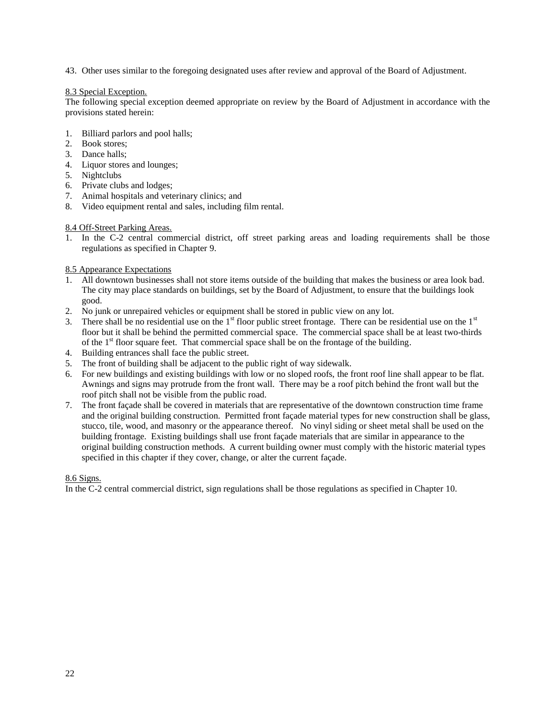43. Other uses similar to the foregoing designated uses after review and approval of the Board of Adjustment.

#### 8.3 Special Exception.

The following special exception deemed appropriate on review by the Board of Adjustment in accordance with the provisions stated herein:

- 1. Billiard parlors and pool halls;
- 2. Book stores;
- 3. Dance halls;
- 4. Liquor stores and lounges;
- 5. Nightclubs
- 6. Private clubs and lodges;
- 7. Animal hospitals and veterinary clinics; and
- 8. Video equipment rental and sales, including film rental.

#### 8.4 Off-Street Parking Areas.

1. In the C-2 central commercial district, off street parking areas and loading requirements shall be those regulations as specified in Chapter 9.

#### 8.5 Appearance Expectations

- 1. All downtown businesses shall not store items outside of the building that makes the business or area look bad. The city may place standards on buildings, set by the Board of Adjustment, to ensure that the buildings look good.
- 2. No junk or unrepaired vehicles or equipment shall be stored in public view on any lot.
- 3. There shall be no residential use on the  $1<sup>st</sup>$  floor public street frontage. There can be residential use on the  $1<sup>st</sup>$ floor but it shall be behind the permitted commercial space. The commercial space shall be at least two-thirds of the  $1<sup>st</sup>$  floor square feet. That commercial space shall be on the frontage of the building.
- 4. Building entrances shall face the public street.
- 5. The front of building shall be adjacent to the public right of way sidewalk.
- 6. For new buildings and existing buildings with low or no sloped roofs, the front roof line shall appear to be flat. Awnings and signs may protrude from the front wall. There may be a roof pitch behind the front wall but the roof pitch shall not be visible from the public road.
- 7. The front façade shall be covered in materials that are representative of the downtown construction time frame and the original building construction. Permitted front façade material types for new construction shall be glass, stucco, tile, wood, and masonry or the appearance thereof. No vinyl siding or sheet metal shall be used on the building frontage. Existing buildings shall use front façade materials that are similar in appearance to the original building construction methods. A current building owner must comply with the historic material types specified in this chapter if they cover, change, or alter the current façade.

#### 8.6 Signs.

In the C-2 central commercial district, sign regulations shall be those regulations as specified in Chapter 10.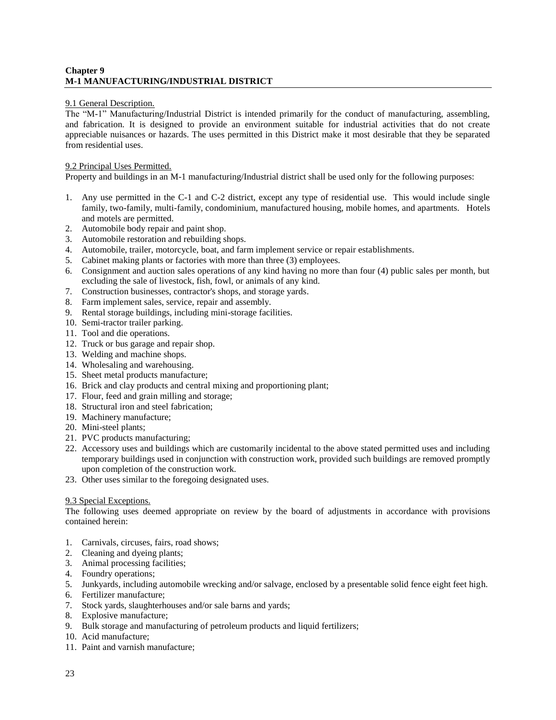# **Chapter 9 M-1 MANUFACTURING/INDUSTRIAL DISTRICT**

## 9.1 General Description.

The "M-1" Manufacturing/Industrial District is intended primarily for the conduct of manufacturing, assembling, and fabrication. It is designed to provide an environment suitable for industrial activities that do not create appreciable nuisances or hazards. The uses permitted in this District make it most desirable that they be separated from residential uses.

## 9.2 Principal Uses Permitted.

Property and buildings in an M-1 manufacturing/Industrial district shall be used only for the following purposes:

- 1. Any use permitted in the C-1 and C-2 district, except any type of residential use. This would include single family, two-family, multi-family, condominium, manufactured housing, mobile homes, and apartments. Hotels and motels are permitted.
- 2. Automobile body repair and paint shop.
- 3. Automobile restoration and rebuilding shops.
- 4. Automobile, trailer, motorcycle, boat, and farm implement service or repair establishments.
- 5. Cabinet making plants or factories with more than three (3) employees.
- 6. Consignment and auction sales operations of any kind having no more than four (4) public sales per month, but excluding the sale of livestock, fish, fowl, or animals of any kind.
- 7. Construction businesses, contractor's shops, and storage yards.
- 8. Farm implement sales, service, repair and assembly.
- 9. Rental storage buildings, including mini-storage facilities.
- 10. Semi-tractor trailer parking.
- 11. Tool and die operations.
- 12. Truck or bus garage and repair shop.
- 13. Welding and machine shops.
- 14. Wholesaling and warehousing.
- 15. Sheet metal products manufacture;
- 16. Brick and clay products and central mixing and proportioning plant;
- 17. Flour, feed and grain milling and storage;
- 18. Structural iron and steel fabrication;
- 19. Machinery manufacture;
- 20. Mini-steel plants;
- 21. PVC products manufacturing;
- 22. Accessory uses and buildings which are customarily incidental to the above stated permitted uses and including temporary buildings used in conjunction with construction work, provided such buildings are removed promptly upon completion of the construction work.
- 23. Other uses similar to the foregoing designated uses.

#### 9.3 Special Exceptions.

The following uses deemed appropriate on review by the board of adjustments in accordance with provisions contained herein:

- 1. Carnivals, circuses, fairs, road shows;
- 2. Cleaning and dyeing plants;
- 3. Animal processing facilities;
- 4. Foundry operations;
- 5. Junkyards, including automobile wrecking and/or salvage, enclosed by a presentable solid fence eight feet high.
- 6. Fertilizer manufacture;
- 7. Stock yards, slaughterhouses and/or sale barns and yards;
- 8. Explosive manufacture;
- 9. Bulk storage and manufacturing of petroleum products and liquid fertilizers;
- 10. Acid manufacture;
- 11. Paint and varnish manufacture;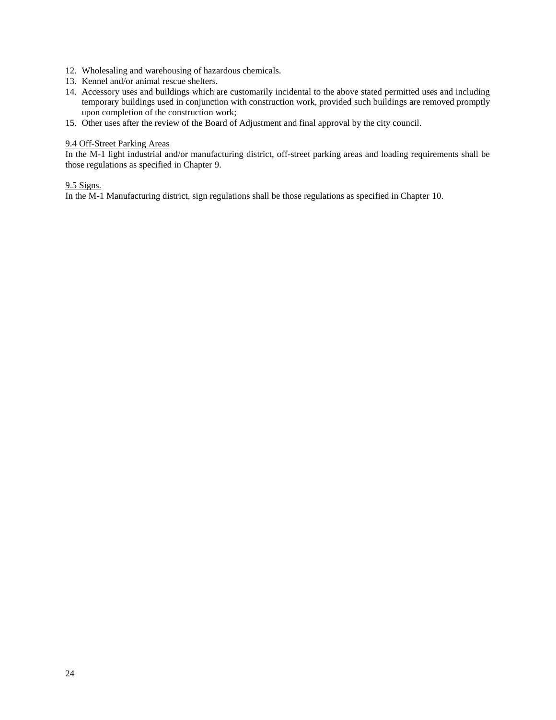- 12. Wholesaling and warehousing of hazardous chemicals.
- 13. Kennel and/or animal rescue shelters.
- 14. Accessory uses and buildings which are customarily incidental to the above stated permitted uses and including temporary buildings used in conjunction with construction work, provided such buildings are removed promptly upon completion of the construction work;
- 15. Other uses after the review of the Board of Adjustment and final approval by the city council.

#### 9.4 Off-Street Parking Areas

In the M-1 light industrial and/or manufacturing district, off-street parking areas and loading requirements shall be those regulations as specified in Chapter 9.

#### 9.5 Signs.

In the M-1 Manufacturing district, sign regulations shall be those regulations as specified in Chapter 10.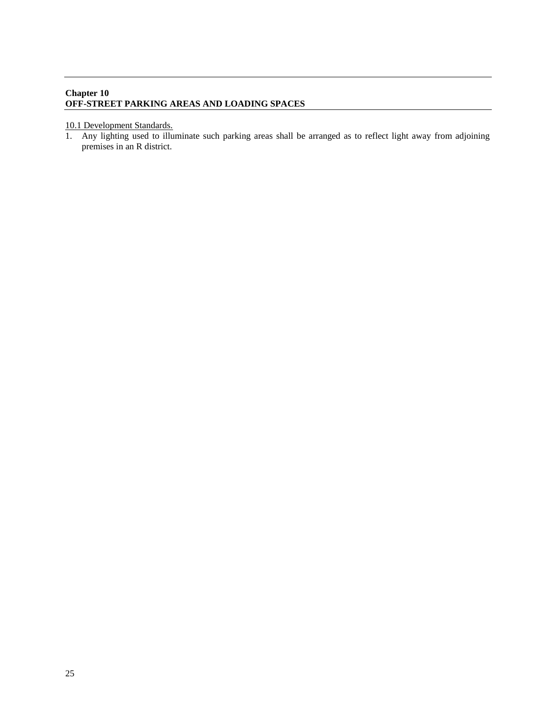# **Chapter 10 OFF-STREET PARKING AREAS AND LOADING SPACES**

#### 10.1 Development Standards.

1. Any lighting used to illuminate such parking areas shall be arranged as to reflect light away from adjoining premises in an R district.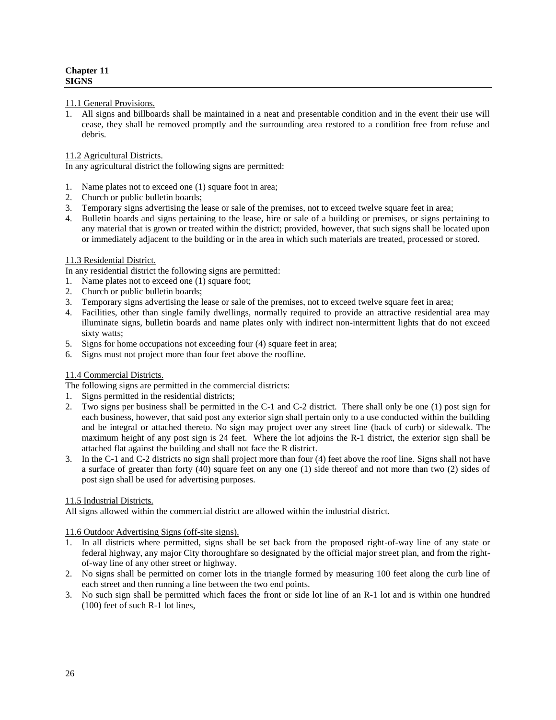#### 11.1 General Provisions.

1. All signs and billboards shall be maintained in a neat and presentable condition and in the event their use will cease, they shall be removed promptly and the surrounding area restored to a condition free from refuse and debris.

## 11.2 Agricultural Districts.

In any agricultural district the following signs are permitted:

- 1. Name plates not to exceed one (1) square foot in area;
- 2. Church or public bulletin boards;
- 3. Temporary signs advertising the lease or sale of the premises, not to exceed twelve square feet in area;
- 4. Bulletin boards and signs pertaining to the lease, hire or sale of a building or premises, or signs pertaining to any material that is grown or treated within the district; provided, however, that such signs shall be located upon or immediately adjacent to the building or in the area in which such materials are treated, processed or stored.

# 11.3 Residential District.

In any residential district the following signs are permitted:

- 1. Name plates not to exceed one (1) square foot;
- 2. Church or public bulletin boards;
- 3. Temporary signs advertising the lease or sale of the premises, not to exceed twelve square feet in area;
- 4. Facilities, other than single family dwellings, normally required to provide an attractive residential area may illuminate signs, bulletin boards and name plates only with indirect non-intermittent lights that do not exceed sixty watts;
- 5. Signs for home occupations not exceeding four (4) square feet in area;
- 6. Signs must not project more than four feet above the roofline.

# 11.4 Commercial Districts.

The following signs are permitted in the commercial districts:

- 1. Signs permitted in the residential districts;
- 2. Two signs per business shall be permitted in the C-1 and C-2 district. There shall only be one (1) post sign for each business, however, that said post any exterior sign shall pertain only to a use conducted within the building and be integral or attached thereto. No sign may project over any street line (back of curb) or sidewalk. The maximum height of any post sign is 24 feet. Where the lot adjoins the R-1 district, the exterior sign shall be attached flat against the building and shall not face the R district.
- 3. In the C-1 and C-2 districts no sign shall project more than four (4) feet above the roof line. Signs shall not have a surface of greater than forty (40) square feet on any one (1) side thereof and not more than two (2) sides of post sign shall be used for advertising purposes.

# 11.5 Industrial Districts.

All signs allowed within the commercial district are allowed within the industrial district.

11.6 Outdoor Advertising Signs (off-site signs).

- 1. In all districts where permitted, signs shall be set back from the proposed right-of-way line of any state or federal highway, any major City thoroughfare so designated by the official major street plan, and from the rightof-way line of any other street or highway.
- 2. No signs shall be permitted on corner lots in the triangle formed by measuring 100 feet along the curb line of each street and then running a line between the two end points.
- 3. No such sign shall be permitted which faces the front or side lot line of an R-1 lot and is within one hundred (100) feet of such R-1 lot lines,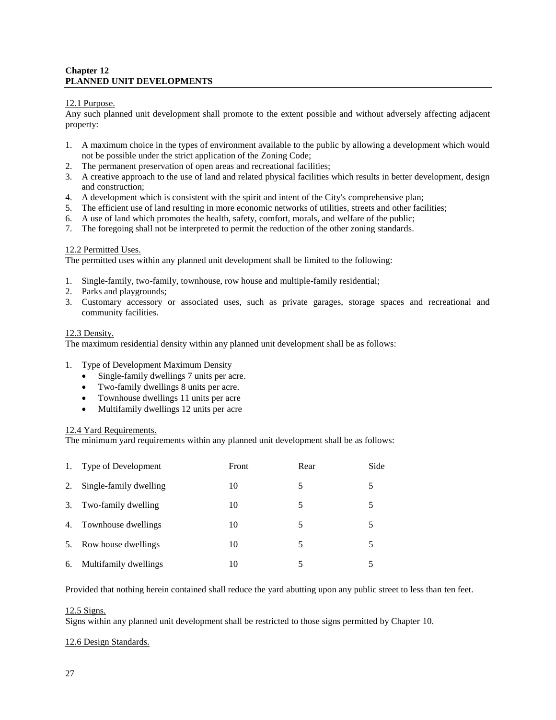# **Chapter 12 PLANNED UNIT DEVELOPMENTS**

## 12.1 Purpose.

Any such planned unit development shall promote to the extent possible and without adversely affecting adjacent property:

- 1. A maximum choice in the types of environment available to the public by allowing a development which would not be possible under the strict application of the Zoning Code;
- 2. The permanent preservation of open areas and recreational facilities;
- 3. A creative approach to the use of land and related physical facilities which results in better development, design and construction;
- 4. A development which is consistent with the spirit and intent of the City's comprehensive plan;
- 5. The efficient use of land resulting in more economic networks of utilities, streets and other facilities;
- 6. A use of land which promotes the health, safety, comfort, morals, and welfare of the public;
- 7. The foregoing shall not be interpreted to permit the reduction of the other zoning standards.

#### 12.2 Permitted Uses.

The permitted uses within any planned unit development shall be limited to the following:

- 1. Single-family, two-family, townhouse, row house and multiple-family residential;
- 2. Parks and playgrounds;
- 3. Customary accessory or associated uses, such as private garages, storage spaces and recreational and community facilities.

#### 12.3 Density.

The maximum residential density within any planned unit development shall be as follows:

- 1. Type of Development Maximum Density
	- Single-family dwellings 7 units per acre.
	- Two-family dwellings 8 units per acre.
	- Townhouse dwellings 11 units per acre
	- Multifamily dwellings 12 units per acre

#### 12.4 Yard Requirements.

The minimum yard requirements within any planned unit development shall be as follows:

| 1. | Type of Development    | Front | Rear | Side |
|----|------------------------|-------|------|------|
| 2. | Single-family dwelling | 10    | 5    | 5    |
| 3. | Two-family dwelling    | 10    | 5    | 5    |
| 4. | Townhouse dwellings    | 10    | 5    | 5    |
| 5. | Row house dwellings    | 10    | 5    | 5    |
| 6. | Multifamily dwellings  | 10    | 5    | 5    |

Provided that nothing herein contained shall reduce the yard abutting upon any public street to less than ten feet.

# 12.5 Signs.

Signs within any planned unit development shall be restricted to those signs permitted by Chapter 10.

#### 12.6 Design Standards.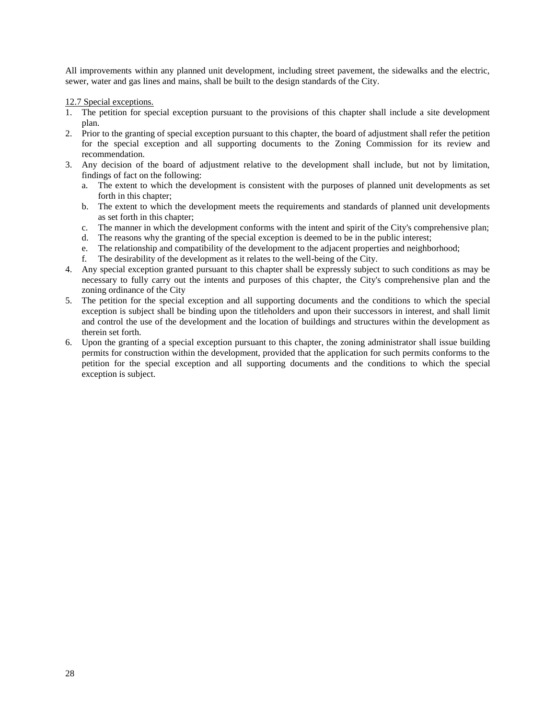All improvements within any planned unit development, including street pavement, the sidewalks and the electric, sewer, water and gas lines and mains, shall be built to the design standards of the City.

12.7 Special exceptions.

- 1. The petition for special exception pursuant to the provisions of this chapter shall include a site development plan.
- 2. Prior to the granting of special exception pursuant to this chapter, the board of adjustment shall refer the petition for the special exception and all supporting documents to the Zoning Commission for its review and recommendation.
- 3. Any decision of the board of adjustment relative to the development shall include, but not by limitation, findings of fact on the following:
	- a. The extent to which the development is consistent with the purposes of planned unit developments as set forth in this chapter;
	- b. The extent to which the development meets the requirements and standards of planned unit developments as set forth in this chapter;
	- c. The manner in which the development conforms with the intent and spirit of the City's comprehensive plan;
	- d. The reasons why the granting of the special exception is deemed to be in the public interest;
	- e. The relationship and compatibility of the development to the adjacent properties and neighborhood;
	- f. The desirability of the development as it relates to the well-being of the City.
- 4. Any special exception granted pursuant to this chapter shall be expressly subject to such conditions as may be necessary to fully carry out the intents and purposes of this chapter, the City's comprehensive plan and the zoning ordinance of the City
- 5. The petition for the special exception and all supporting documents and the conditions to which the special exception is subject shall be binding upon the titleholders and upon their successors in interest, and shall limit and control the use of the development and the location of buildings and structures within the development as therein set forth.
- 6. Upon the granting of a special exception pursuant to this chapter, the zoning administrator shall issue building permits for construction within the development, provided that the application for such permits conforms to the petition for the special exception and all supporting documents and the conditions to which the special exception is subject.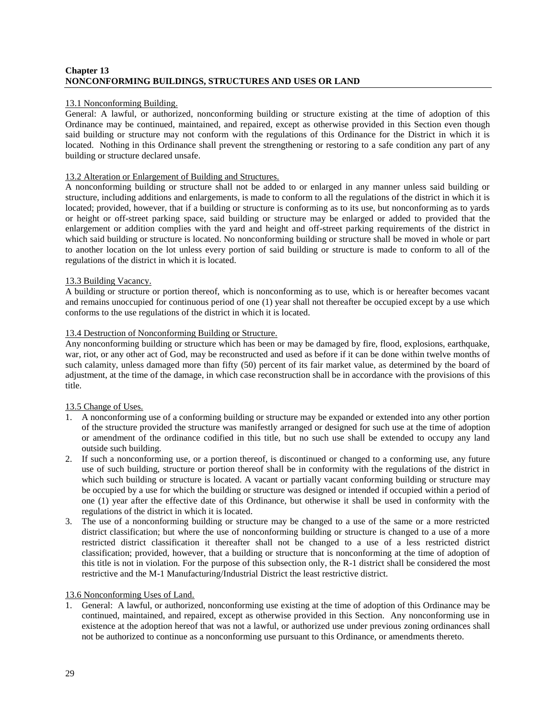# **Chapter 13 NONCONFORMING BUILDINGS, STRUCTURES AND USES OR LAND**

## 13.1 Nonconforming Building.

General: A lawful, or authorized, nonconforming building or structure existing at the time of adoption of this Ordinance may be continued, maintained, and repaired, except as otherwise provided in this Section even though said building or structure may not conform with the regulations of this Ordinance for the District in which it is located. Nothing in this Ordinance shall prevent the strengthening or restoring to a safe condition any part of any building or structure declared unsafe.

#### 13.2 Alteration or Enlargement of Building and Structures.

A nonconforming building or structure shall not be added to or enlarged in any manner unless said building or structure, including additions and enlargements, is made to conform to all the regulations of the district in which it is located; provided, however, that if a building or structure is conforming as to its use, but nonconforming as to yards or height or off-street parking space, said building or structure may be enlarged or added to provided that the enlargement or addition complies with the yard and height and off-street parking requirements of the district in which said building or structure is located. No nonconforming building or structure shall be moved in whole or part to another location on the lot unless every portion of said building or structure is made to conform to all of the regulations of the district in which it is located.

#### 13.3 Building Vacancy.

A building or structure or portion thereof, which is nonconforming as to use, which is or hereafter becomes vacant and remains unoccupied for continuous period of one (1) year shall not thereafter be occupied except by a use which conforms to the use regulations of the district in which it is located.

#### 13.4 Destruction of Nonconforming Building or Structure.

Any nonconforming building or structure which has been or may be damaged by fire, flood, explosions, earthquake, war, riot, or any other act of God, may be reconstructed and used as before if it can be done within twelve months of such calamity, unless damaged more than fifty (50) percent of its fair market value, as determined by the board of adjustment, at the time of the damage, in which case reconstruction shall be in accordance with the provisions of this title.

# 13.5 Change of Uses.

- 1. A nonconforming use of a conforming building or structure may be expanded or extended into any other portion of the structure provided the structure was manifestly arranged or designed for such use at the time of adoption or amendment of the ordinance codified in this title, but no such use shall be extended to occupy any land outside such building.
- 2. If such a nonconforming use, or a portion thereof, is discontinued or changed to a conforming use, any future use of such building, structure or portion thereof shall be in conformity with the regulations of the district in which such building or structure is located. A vacant or partially vacant conforming building or structure may be occupied by a use for which the building or structure was designed or intended if occupied within a period of one (1) year after the effective date of this Ordinance, but otherwise it shall be used in conformity with the regulations of the district in which it is located.
- 3. The use of a nonconforming building or structure may be changed to a use of the same or a more restricted district classification; but where the use of nonconforming building or structure is changed to a use of a more restricted district classification it thereafter shall not be changed to a use of a less restricted district classification; provided, however, that a building or structure that is nonconforming at the time of adoption of this title is not in violation. For the purpose of this subsection only, the R-1 district shall be considered the most restrictive and the M-1 Manufacturing/Industrial District the least restrictive district.

#### 13.6 Nonconforming Uses of Land.

1. General: A lawful, or authorized, nonconforming use existing at the time of adoption of this Ordinance may be continued, maintained, and repaired, except as otherwise provided in this Section. Any nonconforming use in existence at the adoption hereof that was not a lawful, or authorized use under previous zoning ordinances shall not be authorized to continue as a nonconforming use pursuant to this Ordinance, or amendments thereto.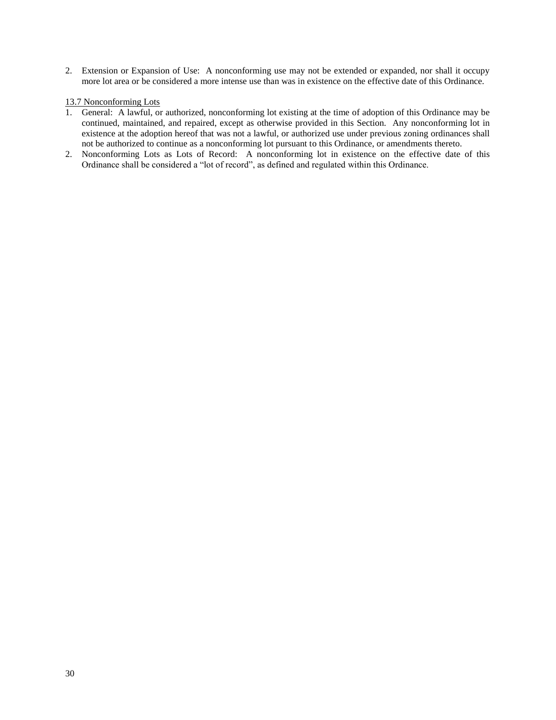2. Extension or Expansion of Use: A nonconforming use may not be extended or expanded, nor shall it occupy more lot area or be considered a more intense use than was in existence on the effective date of this Ordinance.

## 13.7 Nonconforming Lots

- 1. General: A lawful, or authorized, nonconforming lot existing at the time of adoption of this Ordinance may be continued, maintained, and repaired, except as otherwise provided in this Section. Any nonconforming lot in existence at the adoption hereof that was not a lawful, or authorized use under previous zoning ordinances shall not be authorized to continue as a nonconforming lot pursuant to this Ordinance, or amendments thereto.
- 2. Nonconforming Lots as Lots of Record: A nonconforming lot in existence on the effective date of this Ordinance shall be considered a "lot of record", as defined and regulated within this Ordinance.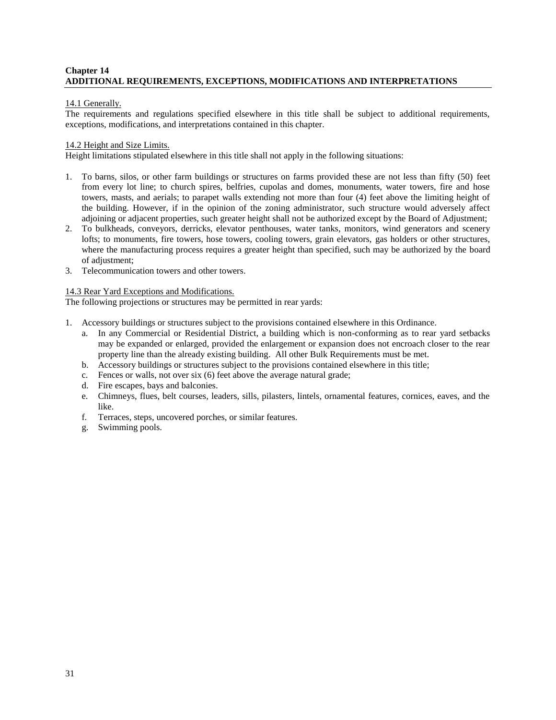## **Chapter 14 ADDITIONAL REQUIREMENTS, EXCEPTIONS, MODIFICATIONS AND INTERPRETATIONS**

## 14.1 Generally.

The requirements and regulations specified elsewhere in this title shall be subject to additional requirements, exceptions, modifications, and interpretations contained in this chapter.

#### 14.2 Height and Size Limits.

Height limitations stipulated elsewhere in this title shall not apply in the following situations:

- 1. To barns, silos, or other farm buildings or structures on farms provided these are not less than fifty (50) feet from every lot line; to church spires, belfries, cupolas and domes, monuments, water towers, fire and hose towers, masts, and aerials; to parapet walls extending not more than four (4) feet above the limiting height of the building. However, if in the opinion of the zoning administrator, such structure would adversely affect adjoining or adjacent properties, such greater height shall not be authorized except by the Board of Adjustment;
- 2. To bulkheads, conveyors, derricks, elevator penthouses, water tanks, monitors, wind generators and scenery lofts; to monuments, fire towers, hose towers, cooling towers, grain elevators, gas holders or other structures, where the manufacturing process requires a greater height than specified, such may be authorized by the board of adjustment;
- 3. Telecommunication towers and other towers.

#### 14.3 Rear Yard Exceptions and Modifications.

The following projections or structures may be permitted in rear yards:

- 1. Accessory buildings or structures subject to the provisions contained elsewhere in this Ordinance.
	- a. In any Commercial or Residential District, a building which is non-conforming as to rear yard setbacks may be expanded or enlarged, provided the enlargement or expansion does not encroach closer to the rear property line than the already existing building. All other Bulk Requirements must be met.
	- b. Accessory buildings or structures subject to the provisions contained elsewhere in this title;
	- c. Fences or walls, not over six (6) feet above the average natural grade;
	- d. Fire escapes, bays and balconies.
	- e. Chimneys, flues, belt courses, leaders, sills, pilasters, lintels, ornamental features, cornices, eaves, and the like.
	- f. Terraces, steps, uncovered porches, or similar features.
	- g. Swimming pools.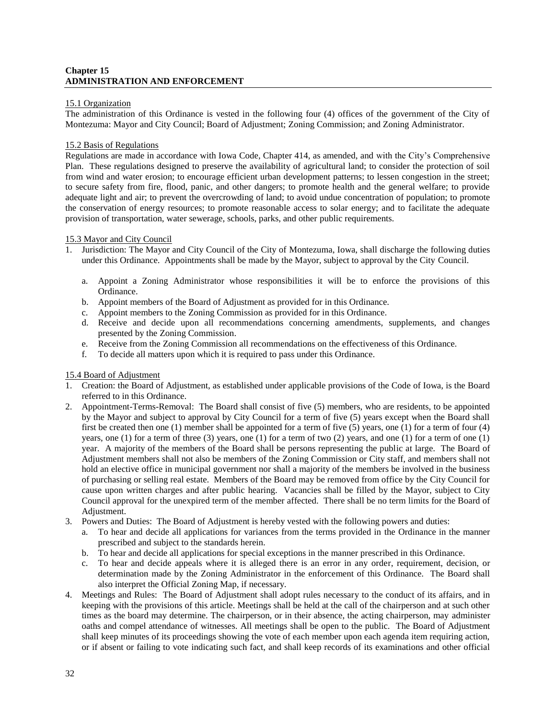# **Chapter 15 ADMINISTRATION AND ENFORCEMENT**

#### 15.1 Organization

The administration of this Ordinance is vested in the following four (4) offices of the government of the City of Montezuma: Mayor and City Council; Board of Adjustment; Zoning Commission; and Zoning Administrator.

#### 15.2 Basis of Regulations

Regulations are made in accordance with Iowa Code, Chapter 414, as amended, and with the City's Comprehensive Plan. These regulations designed to preserve the availability of agricultural land; to consider the protection of soil from wind and water erosion; to encourage efficient urban development patterns; to lessen congestion in the street; to secure safety from fire, flood, panic, and other dangers; to promote health and the general welfare; to provide adequate light and air; to prevent the overcrowding of land; to avoid undue concentration of population; to promote the conservation of energy resources; to promote reasonable access to solar energy; and to facilitate the adequate provision of transportation, water sewerage, schools, parks, and other public requirements.

#### 15.3 Mayor and City Council

- 1. Jurisdiction: The Mayor and City Council of the City of Montezuma, Iowa, shall discharge the following duties under this Ordinance. Appointments shall be made by the Mayor, subject to approval by the City Council.
	- a. Appoint a Zoning Administrator whose responsibilities it will be to enforce the provisions of this Ordinance.
	- b. Appoint members of the Board of Adjustment as provided for in this Ordinance.
	- c. Appoint members to the Zoning Commission as provided for in this Ordinance.
	- d. Receive and decide upon all recommendations concerning amendments, supplements, and changes presented by the Zoning Commission.
	- e. Receive from the Zoning Commission all recommendations on the effectiveness of this Ordinance.
	- f. To decide all matters upon which it is required to pass under this Ordinance.

#### 15.4 Board of Adjustment

- 1. Creation: the Board of Adjustment, as established under applicable provisions of the Code of Iowa, is the Board referred to in this Ordinance.
- 2. Appointment-Terms-Removal: The Board shall consist of five (5) members, who are residents, to be appointed by the Mayor and subject to approval by City Council for a term of five (5) years except when the Board shall first be created then one (1) member shall be appointed for a term of five (5) years, one (1) for a term of four (4) years, one (1) for a term of three (3) years, one (1) for a term of two (2) years, and one (1) for a term of one (1) year. A majority of the members of the Board shall be persons representing the public at large. The Board of Adjustment members shall not also be members of the Zoning Commission or City staff, and members shall not hold an elective office in municipal government nor shall a majority of the members be involved in the business of purchasing or selling real estate. Members of the Board may be removed from office by the City Council for cause upon written charges and after public hearing. Vacancies shall be filled by the Mayor, subject to City Council approval for the unexpired term of the member affected. There shall be no term limits for the Board of Adjustment.
- 3. Powers and Duties: The Board of Adjustment is hereby vested with the following powers and duties:
	- a. To hear and decide all applications for variances from the terms provided in the Ordinance in the manner prescribed and subject to the standards herein.
	- b. To hear and decide all applications for special exceptions in the manner prescribed in this Ordinance.
	- c. To hear and decide appeals where it is alleged there is an error in any order, requirement, decision, or determination made by the Zoning Administrator in the enforcement of this Ordinance. The Board shall also interpret the Official Zoning Map, if necessary.
- 4. Meetings and Rules: The Board of Adjustment shall adopt rules necessary to the conduct of its affairs, and in keeping with the provisions of this article. Meetings shall be held at the call of the chairperson and at such other times as the board may determine. The chairperson, or in their absence, the acting chairperson, may administer oaths and compel attendance of witnesses. All meetings shall be open to the public. The Board of Adjustment shall keep minutes of its proceedings showing the vote of each member upon each agenda item requiring action, or if absent or failing to vote indicating such fact, and shall keep records of its examinations and other official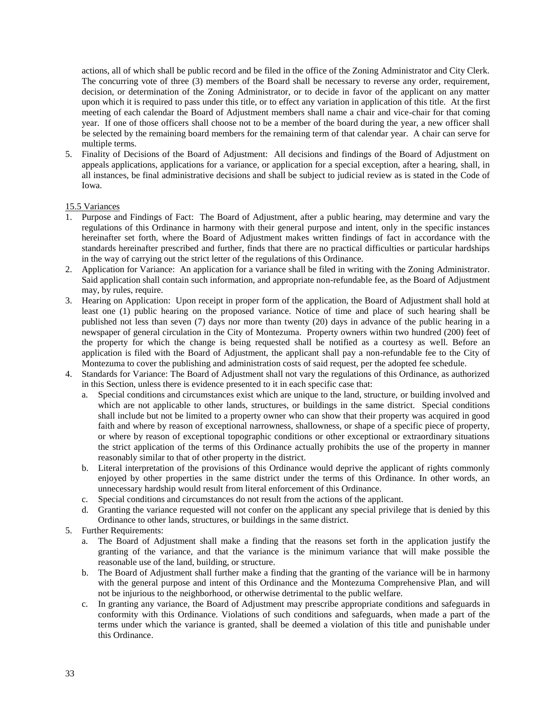actions, all of which shall be public record and be filed in the office of the Zoning Administrator and City Clerk. The concurring vote of three (3) members of the Board shall be necessary to reverse any order, requirement, decision, or determination of the Zoning Administrator, or to decide in favor of the applicant on any matter upon which it is required to pass under this title, or to effect any variation in application of this title. At the first meeting of each calendar the Board of Adjustment members shall name a chair and vice-chair for that coming year. If one of those officers shall choose not to be a member of the board during the year, a new officer shall be selected by the remaining board members for the remaining term of that calendar year. A chair can serve for multiple terms.

5. Finality of Decisions of the Board of Adjustment: All decisions and findings of the Board of Adjustment on appeals applications, applications for a variance, or application for a special exception, after a hearing, shall, in all instances, be final administrative decisions and shall be subject to judicial review as is stated in the Code of Iowa.

#### 15.5 Variances

- 1. Purpose and Findings of Fact: The Board of Adjustment, after a public hearing, may determine and vary the regulations of this Ordinance in harmony with their general purpose and intent, only in the specific instances hereinafter set forth, where the Board of Adjustment makes written findings of fact in accordance with the standards hereinafter prescribed and further, finds that there are no practical difficulties or particular hardships in the way of carrying out the strict letter of the regulations of this Ordinance.
- 2. Application for Variance: An application for a variance shall be filed in writing with the Zoning Administrator. Said application shall contain such information, and appropriate non-refundable fee, as the Board of Adjustment may, by rules, require.
- 3. Hearing on Application: Upon receipt in proper form of the application, the Board of Adjustment shall hold at least one (1) public hearing on the proposed variance. Notice of time and place of such hearing shall be published not less than seven (7) days nor more than twenty (20) days in advance of the public hearing in a newspaper of general circulation in the City of Montezuma. Property owners within two hundred (200) feet of the property for which the change is being requested shall be notified as a courtesy as well. Before an application is filed with the Board of Adjustment, the applicant shall pay a non-refundable fee to the City of Montezuma to cover the publishing and administration costs of said request, per the adopted fee schedule.
- 4. Standards for Variance: The Board of Adjustment shall not vary the regulations of this Ordinance, as authorized in this Section, unless there is evidence presented to it in each specific case that:
	- a. Special conditions and circumstances exist which are unique to the land, structure, or building involved and which are not applicable to other lands, structures, or buildings in the same district. Special conditions shall include but not be limited to a property owner who can show that their property was acquired in good faith and where by reason of exceptional narrowness, shallowness, or shape of a specific piece of property, or where by reason of exceptional topographic conditions or other exceptional or extraordinary situations the strict application of the terms of this Ordinance actually prohibits the use of the property in manner reasonably similar to that of other property in the district.
	- b. Literal interpretation of the provisions of this Ordinance would deprive the applicant of rights commonly enjoyed by other properties in the same district under the terms of this Ordinance. In other words, an unnecessary hardship would result from literal enforcement of this Ordinance.
	- c. Special conditions and circumstances do not result from the actions of the applicant.
	- d. Granting the variance requested will not confer on the applicant any special privilege that is denied by this Ordinance to other lands, structures, or buildings in the same district.
- 5. Further Requirements:
	- a. The Board of Adjustment shall make a finding that the reasons set forth in the application justify the granting of the variance, and that the variance is the minimum variance that will make possible the reasonable use of the land, building, or structure.
	- b. The Board of Adjustment shall further make a finding that the granting of the variance will be in harmony with the general purpose and intent of this Ordinance and the Montezuma Comprehensive Plan, and will not be injurious to the neighborhood, or otherwise detrimental to the public welfare.
	- c. In granting any variance, the Board of Adjustment may prescribe appropriate conditions and safeguards in conformity with this Ordinance. Violations of such conditions and safeguards, when made a part of the terms under which the variance is granted, shall be deemed a violation of this title and punishable under this Ordinance.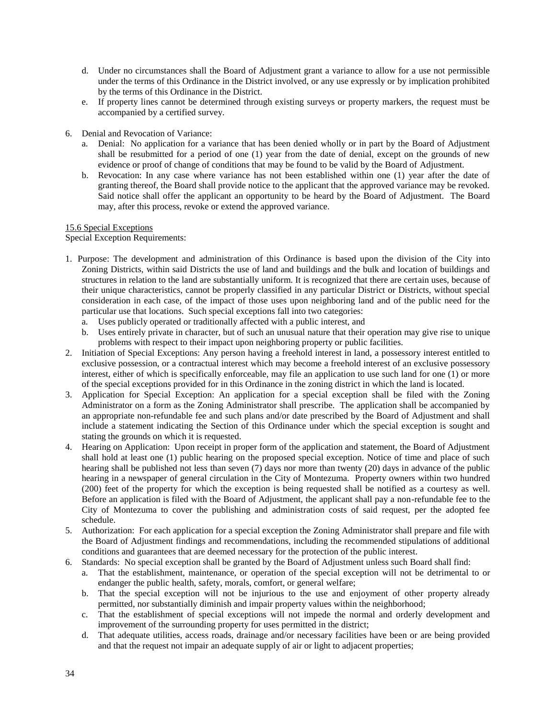- d. Under no circumstances shall the Board of Adjustment grant a variance to allow for a use not permissible under the terms of this Ordinance in the District involved, or any use expressly or by implication prohibited by the terms of this Ordinance in the District.
- e. If property lines cannot be determined through existing surveys or property markers, the request must be accompanied by a certified survey.
- 6. Denial and Revocation of Variance:
	- a. Denial: No application for a variance that has been denied wholly or in part by the Board of Adjustment shall be resubmitted for a period of one (1) year from the date of denial, except on the grounds of new evidence or proof of change of conditions that may be found to be valid by the Board of Adjustment.
	- b. Revocation: In any case where variance has not been established within one (1) year after the date of granting thereof, the Board shall provide notice to the applicant that the approved variance may be revoked. Said notice shall offer the applicant an opportunity to be heard by the Board of Adjustment. The Board may, after this process, revoke or extend the approved variance.

# 15.6 Special Exceptions

Special Exception Requirements:

- 1. Purpose: The development and administration of this Ordinance is based upon the division of the City into Zoning Districts, within said Districts the use of land and buildings and the bulk and location of buildings and structures in relation to the land are substantially uniform. It is recognized that there are certain uses, because of their unique characteristics, cannot be properly classified in any particular District or Districts, without special consideration in each case, of the impact of those uses upon neighboring land and of the public need for the particular use that locations. Such special exceptions fall into two categories:
	- a. Uses publicly operated or traditionally affected with a public interest, and
	- b. Uses entirely private in character, but of such an unusual nature that their operation may give rise to unique problems with respect to their impact upon neighboring property or public facilities.
- 2. Initiation of Special Exceptions: Any person having a freehold interest in land, a possessory interest entitled to exclusive possession, or a contractual interest which may become a freehold interest of an exclusive possessory interest, either of which is specifically enforceable, may file an application to use such land for one (1) or more of the special exceptions provided for in this Ordinance in the zoning district in which the land is located.
- 3. Application for Special Exception: An application for a special exception shall be filed with the Zoning Administrator on a form as the Zoning Administrator shall prescribe. The application shall be accompanied by an appropriate non-refundable fee and such plans and/or date prescribed by the Board of Adjustment and shall include a statement indicating the Section of this Ordinance under which the special exception is sought and stating the grounds on which it is requested.
- 4. Hearing on Application: Upon receipt in proper form of the application and statement, the Board of Adjustment shall hold at least one (1) public hearing on the proposed special exception. Notice of time and place of such hearing shall be published not less than seven (7) days nor more than twenty (20) days in advance of the public hearing in a newspaper of general circulation in the City of Montezuma. Property owners within two hundred (200) feet of the property for which the exception is being requested shall be notified as a courtesy as well. Before an application is filed with the Board of Adjustment, the applicant shall pay a non-refundable fee to the City of Montezuma to cover the publishing and administration costs of said request, per the adopted fee schedule.
- 5. Authorization: For each application for a special exception the Zoning Administrator shall prepare and file with the Board of Adjustment findings and recommendations, including the recommended stipulations of additional conditions and guarantees that are deemed necessary for the protection of the public interest.
- 6. Standards: No special exception shall be granted by the Board of Adjustment unless such Board shall find:
	- a. That the establishment, maintenance, or operation of the special exception will not be detrimental to or endanger the public health, safety, morals, comfort, or general welfare;
	- b. That the special exception will not be injurious to the use and enjoyment of other property already permitted, nor substantially diminish and impair property values within the neighborhood;
	- c. That the establishment of special exceptions will not impede the normal and orderly development and improvement of the surrounding property for uses permitted in the district;
	- d. That adequate utilities, access roads, drainage and/or necessary facilities have been or are being provided and that the request not impair an adequate supply of air or light to adjacent properties;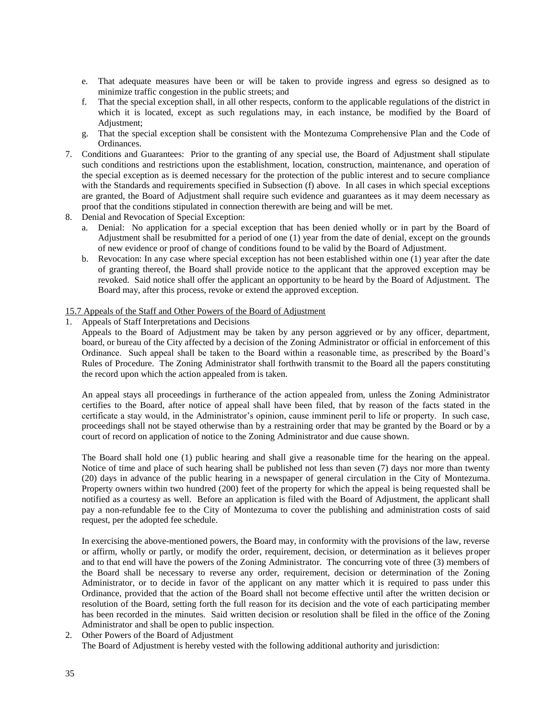- e. That adequate measures have been or will be taken to provide ingress and egress so designed as to minimize traffic congestion in the public streets; and
- f. That the special exception shall, in all other respects, conform to the applicable regulations of the district in which it is located, except as such regulations may, in each instance, be modified by the Board of Adjustment;
- g. That the special exception shall be consistent with the Montezuma Comprehensive Plan and the Code of Ordinances.
- 7. Conditions and Guarantees: Prior to the granting of any special use, the Board of Adjustment shall stipulate such conditions and restrictions upon the establishment, location, construction, maintenance, and operation of the special exception as is deemed necessary for the protection of the public interest and to secure compliance with the Standards and requirements specified in Subsection (f) above. In all cases in which special exceptions are granted, the Board of Adjustment shall require such evidence and guarantees as it may deem necessary as proof that the conditions stipulated in connection therewith are being and will be met.
- 8. Denial and Revocation of Special Exception:
	- a. Denial: No application for a special exception that has been denied wholly or in part by the Board of Adjustment shall be resubmitted for a period of one (1) year from the date of denial, except on the grounds of new evidence or proof of change of conditions found to be valid by the Board of Adjustment.
	- b. Revocation: In any case where special exception has not been established within one (1) year after the date of granting thereof, the Board shall provide notice to the applicant that the approved exception may be revoked. Said notice shall offer the applicant an opportunity to be heard by the Board of Adjustment. The Board may, after this process, revoke or extend the approved exception.

### 15.7 Appeals of the Staff and Other Powers of the Board of Adjustment

1. Appeals of Staff Interpretations and Decisions

Appeals to the Board of Adjustment may be taken by any person aggrieved or by any officer, department, board, or bureau of the City affected by a decision of the Zoning Administrator or official in enforcement of this Ordinance. Such appeal shall be taken to the Board within a reasonable time, as prescribed by the Board's Rules of Procedure. The Zoning Administrator shall forthwith transmit to the Board all the papers constituting the record upon which the action appealed from is taken.

An appeal stays all proceedings in furtherance of the action appealed from, unless the Zoning Administrator certifies to the Board, after notice of appeal shall have been filed, that by reason of the facts stated in the certificate a stay would, in the Administrator's opinion, cause imminent peril to life or property. In such case, proceedings shall not be stayed otherwise than by a restraining order that may be granted by the Board or by a court of record on application of notice to the Zoning Administrator and due cause shown.

The Board shall hold one (1) public hearing and shall give a reasonable time for the hearing on the appeal. Notice of time and place of such hearing shall be published not less than seven (7) days nor more than twenty (20) days in advance of the public hearing in a newspaper of general circulation in the City of Montezuma. Property owners within two hundred (200) feet of the property for which the appeal is being requested shall be notified as a courtesy as well. Before an application is filed with the Board of Adjustment, the applicant shall pay a non-refundable fee to the City of Montezuma to cover the publishing and administration costs of said request, per the adopted fee schedule.

In exercising the above-mentioned powers, the Board may, in conformity with the provisions of the law, reverse or affirm, wholly or partly, or modify the order, requirement, decision, or determination as it believes proper and to that end will have the powers of the Zoning Administrator. The concurring vote of three (3) members of the Board shall be necessary to reverse any order, requirement, decision or determination of the Zoning Administrator, or to decide in favor of the applicant on any matter which it is required to pass under this Ordinance, provided that the action of the Board shall not become effective until after the written decision or resolution of the Board, setting forth the full reason for its decision and the vote of each participating member has been recorded in the minutes. Said written decision or resolution shall be filed in the office of the Zoning Administrator and shall be open to public inspection.

2. Other Powers of the Board of Adjustment

The Board of Adjustment is hereby vested with the following additional authority and jurisdiction: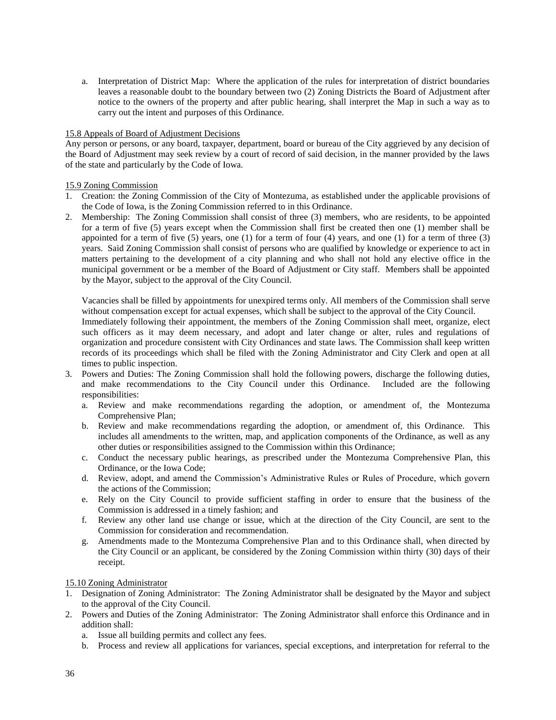a. Interpretation of District Map: Where the application of the rules for interpretation of district boundaries leaves a reasonable doubt to the boundary between two (2) Zoning Districts the Board of Adjustment after notice to the owners of the property and after public hearing, shall interpret the Map in such a way as to carry out the intent and purposes of this Ordinance.

#### 15.8 Appeals of Board of Adjustment Decisions

Any person or persons, or any board, taxpayer, department, board or bureau of the City aggrieved by any decision of the Board of Adjustment may seek review by a court of record of said decision, in the manner provided by the laws of the state and particularly by the Code of Iowa.

#### 15.9 Zoning Commission

- 1. Creation: the Zoning Commission of the City of Montezuma, as established under the applicable provisions of the Code of Iowa, is the Zoning Commission referred to in this Ordinance.
- 2. Membership: The Zoning Commission shall consist of three (3) members, who are residents, to be appointed for a term of five (5) years except when the Commission shall first be created then one (1) member shall be appointed for a term of five  $(5)$  years, one  $(1)$  for a term of four  $(4)$  years, and one  $(1)$  for a term of three  $(3)$ years. Said Zoning Commission shall consist of persons who are qualified by knowledge or experience to act in matters pertaining to the development of a city planning and who shall not hold any elective office in the municipal government or be a member of the Board of Adjustment or City staff. Members shall be appointed by the Mayor, subject to the approval of the City Council.

Vacancies shall be filled by appointments for unexpired terms only. All members of the Commission shall serve without compensation except for actual expenses, which shall be subject to the approval of the City Council.

Immediately following their appointment, the members of the Zoning Commission shall meet, organize, elect such officers as it may deem necessary, and adopt and later change or alter, rules and regulations of organization and procedure consistent with City Ordinances and state laws. The Commission shall keep written records of its proceedings which shall be filed with the Zoning Administrator and City Clerk and open at all times to public inspection.

- 3. Powers and Duties: The Zoning Commission shall hold the following powers, discharge the following duties, and make recommendations to the City Council under this Ordinance. Included are the following responsibilities:
	- a. Review and make recommendations regarding the adoption, or amendment of, the Montezuma Comprehensive Plan;
	- b. Review and make recommendations regarding the adoption, or amendment of, this Ordinance. This includes all amendments to the written, map, and application components of the Ordinance, as well as any other duties or responsibilities assigned to the Commission within this Ordinance;
	- c. Conduct the necessary public hearings, as prescribed under the Montezuma Comprehensive Plan, this Ordinance, or the Iowa Code;
	- d. Review, adopt, and amend the Commission's Administrative Rules or Rules of Procedure, which govern the actions of the Commission;
	- e. Rely on the City Council to provide sufficient staffing in order to ensure that the business of the Commission is addressed in a timely fashion; and
	- f. Review any other land use change or issue, which at the direction of the City Council, are sent to the Commission for consideration and recommendation.
	- g. Amendments made to the Montezuma Comprehensive Plan and to this Ordinance shall, when directed by the City Council or an applicant, be considered by the Zoning Commission within thirty (30) days of their receipt.

# 15.10 Zoning Administrator

- 1. Designation of Zoning Administrator: The Zoning Administrator shall be designated by the Mayor and subject to the approval of the City Council.
- 2. Powers and Duties of the Zoning Administrator: The Zoning Administrator shall enforce this Ordinance and in addition shall:
	- a. Issue all building permits and collect any fees.
	- b. Process and review all applications for variances, special exceptions, and interpretation for referral to the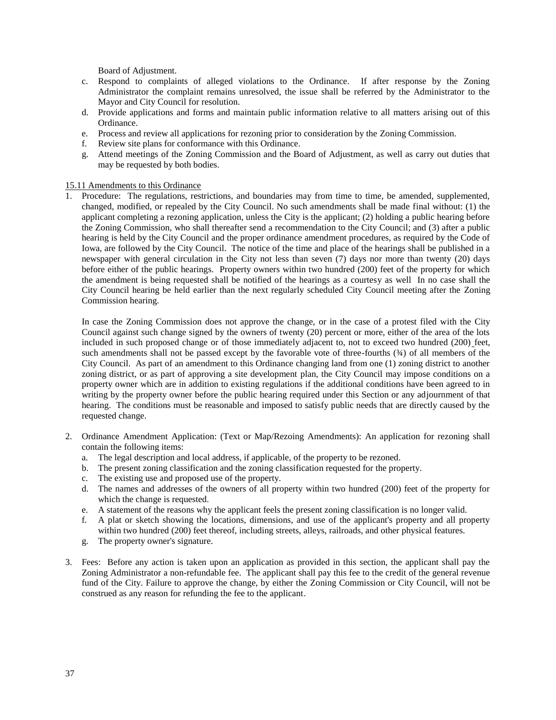Board of Adjustment.

- c. Respond to complaints of alleged violations to the Ordinance. If after response by the Zoning Administrator the complaint remains unresolved, the issue shall be referred by the Administrator to the Mayor and City Council for resolution.
- d. Provide applications and forms and maintain public information relative to all matters arising out of this Ordinance.
- e. Process and review all applications for rezoning prior to consideration by the Zoning Commission.
- f. Review site plans for conformance with this Ordinance.
- g. Attend meetings of the Zoning Commission and the Board of Adjustment, as well as carry out duties that may be requested by both bodies.

# 15.11 Amendments to this Ordinance

1. Procedure: The regulations, restrictions, and boundaries may from time to time, be amended, supplemented, changed, modified, or repealed by the City Council. No such amendments shall be made final without: (1) the applicant completing a rezoning application, unless the City is the applicant; (2) holding a public hearing before the Zoning Commission, who shall thereafter send a recommendation to the City Council; and (3) after a public hearing is held by the City Council and the proper ordinance amendment procedures, as required by the Code of Iowa, are followed by the City Council. The notice of the time and place of the hearings shall be published in a newspaper with general circulation in the City not less than seven (7) days nor more than twenty (20) days before either of the public hearings. Property owners within two hundred (200) feet of the property for which the amendment is being requested shall be notified of the hearings as a courtesy as well In no case shall the City Council hearing be held earlier than the next regularly scheduled City Council meeting after the Zoning Commission hearing.

In case the Zoning Commission does not approve the change, or in the case of a protest filed with the City Council against such change signed by the owners of twenty (20) percent or more, either of the area of the lots included in such proposed change or of those immediately adjacent to, not to exceed two hundred (200) feet, such amendments shall not be passed except by the favorable vote of three-fourths ( $\frac{3}{4}$ ) of all members of the City Council. As part of an amendment to this Ordinance changing land from one (1) zoning district to another zoning district, or as part of approving a site development plan, the City Council may impose conditions on a property owner which are in addition to existing regulations if the additional conditions have been agreed to in writing by the property owner before the public hearing required under this Section or any adjournment of that hearing. The conditions must be reasonable and imposed to satisfy public needs that are directly caused by the requested change.

- 2. Ordinance Amendment Application: (Text or Map/Rezoing Amendments): An application for rezoning shall contain the following items:
	- a. The legal description and local address, if applicable, of the property to be rezoned.
	- b. The present zoning classification and the zoning classification requested for the property.
	- c. The existing use and proposed use of the property.
	- d. The names and addresses of the owners of all property within two hundred (200) feet of the property for which the change is requested.
	- e. A statement of the reasons why the applicant feels the present zoning classification is no longer valid.
	- f. A plat or sketch showing the locations, dimensions, and use of the applicant's property and all property within two hundred (200) feet thereof, including streets, alleys, railroads, and other physical features.
	- g. The property owner's signature.
- 3. Fees: Before any action is taken upon an application as provided in this section, the applicant shall pay the Zoning Administrator a non-refundable fee. The applicant shall pay this fee to the credit of the general revenue fund of the City. Failure to approve the change, by either the Zoning Commission or City Council, will not be construed as any reason for refunding the fee to the applicant.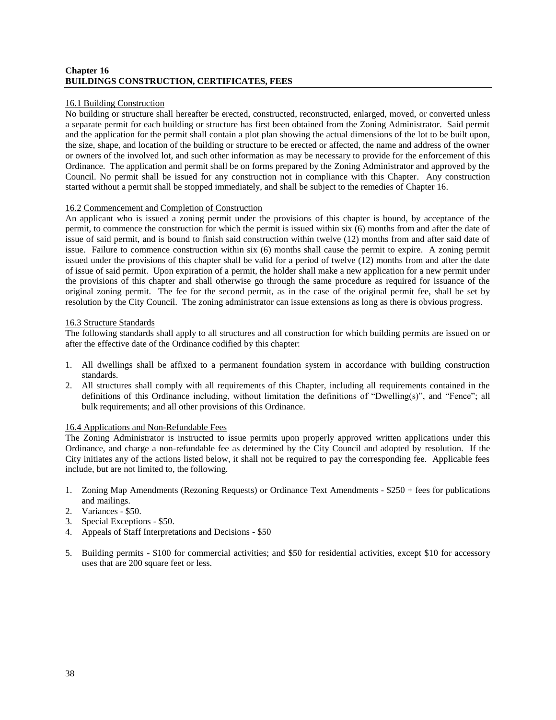# **Chapter 16 BUILDINGS CONSTRUCTION, CERTIFICATES, FEES**

#### 16.1 Building Construction

No building or structure shall hereafter be erected, constructed, reconstructed, enlarged, moved, or converted unless a separate permit for each building or structure has first been obtained from the Zoning Administrator. Said permit and the application for the permit shall contain a plot plan showing the actual dimensions of the lot to be built upon, the size, shape, and location of the building or structure to be erected or affected, the name and address of the owner or owners of the involved lot, and such other information as may be necessary to provide for the enforcement of this Ordinance. The application and permit shall be on forms prepared by the Zoning Administrator and approved by the Council. No permit shall be issued for any construction not in compliance with this Chapter. Any construction started without a permit shall be stopped immediately, and shall be subject to the remedies of Chapter 16.

#### 16.2 Commencement and Completion of Construction

An applicant who is issued a zoning permit under the provisions of this chapter is bound, by acceptance of the permit, to commence the construction for which the permit is issued within six (6) months from and after the date of issue of said permit, and is bound to finish said construction within twelve (12) months from and after said date of issue. Failure to commence construction within six (6) months shall cause the permit to expire. A zoning permit issued under the provisions of this chapter shall be valid for a period of twelve (12) months from and after the date of issue of said permit. Upon expiration of a permit, the holder shall make a new application for a new permit under the provisions of this chapter and shall otherwise go through the same procedure as required for issuance of the original zoning permit. The fee for the second permit, as in the case of the original permit fee, shall be set by resolution by the City Council. The zoning administrator can issue extensions as long as there is obvious progress.

#### 16.3 Structure Standards

The following standards shall apply to all structures and all construction for which building permits are issued on or after the effective date of the Ordinance codified by this chapter:

- 1. All dwellings shall be affixed to a permanent foundation system in accordance with building construction standards.
- 2. All structures shall comply with all requirements of this Chapter, including all requirements contained in the definitions of this Ordinance including, without limitation the definitions of "Dwelling(s)", and "Fence"; all bulk requirements; and all other provisions of this Ordinance.

# 16.4 Applications and Non-Refundable Fees

The Zoning Administrator is instructed to issue permits upon properly approved written applications under this Ordinance, and charge a non-refundable fee as determined by the City Council and adopted by resolution. If the City initiates any of the actions listed below, it shall not be required to pay the corresponding fee. Applicable fees include, but are not limited to, the following.

- 1. Zoning Map Amendments (Rezoning Requests) or Ordinance Text Amendments \$250 + fees for publications and mailings.
- 2. Variances \$50.
- 3. Special Exceptions \$50.
- 4. Appeals of Staff Interpretations and Decisions \$50
- 5. Building permits \$100 for commercial activities; and \$50 for residential activities, except \$10 for accessory uses that are 200 square feet or less.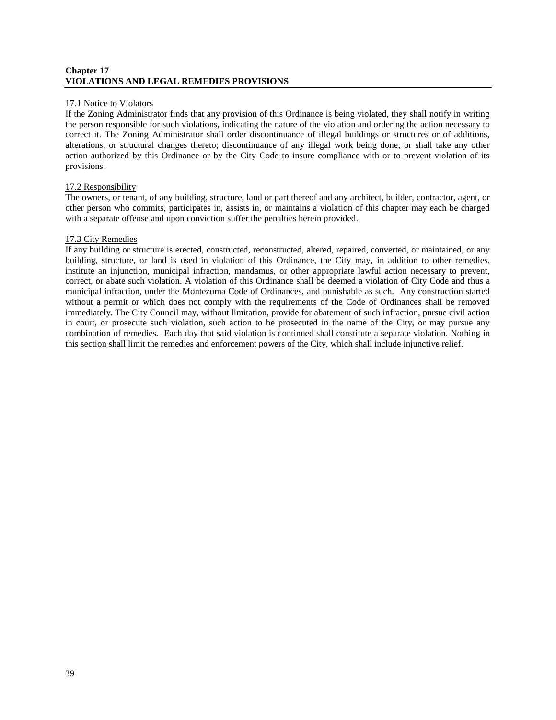# **Chapter 17 VIOLATIONS AND LEGAL REMEDIES PROVISIONS**

#### 17.1 Notice to Violators

If the Zoning Administrator finds that any provision of this Ordinance is being violated, they shall notify in writing the person responsible for such violations, indicating the nature of the violation and ordering the action necessary to correct it. The Zoning Administrator shall order discontinuance of illegal buildings or structures or of additions, alterations, or structural changes thereto; discontinuance of any illegal work being done; or shall take any other action authorized by this Ordinance or by the City Code to insure compliance with or to prevent violation of its provisions.

# 17.2 Responsibility

The owners, or tenant, of any building, structure, land or part thereof and any architect, builder, contractor, agent, or other person who commits, participates in, assists in, or maintains a violation of this chapter may each be charged with a separate offense and upon conviction suffer the penalties herein provided.

#### 17.3 City Remedies

If any building or structure is erected, constructed, reconstructed, altered, repaired, converted, or maintained, or any building, structure, or land is used in violation of this Ordinance, the City may, in addition to other remedies, institute an injunction, municipal infraction, mandamus, or other appropriate lawful action necessary to prevent, correct, or abate such violation. A violation of this Ordinance shall be deemed a violation of City Code and thus a municipal infraction, under the Montezuma Code of Ordinances, and punishable as such. Any construction started without a permit or which does not comply with the requirements of the Code of Ordinances shall be removed immediately. The City Council may, without limitation, provide for abatement of such infraction, pursue civil action in court, or prosecute such violation, such action to be prosecuted in the name of the City, or may pursue any combination of remedies. Each day that said violation is continued shall constitute a separate violation. Nothing in this section shall limit the remedies and enforcement powers of the City, which shall include injunctive relief.